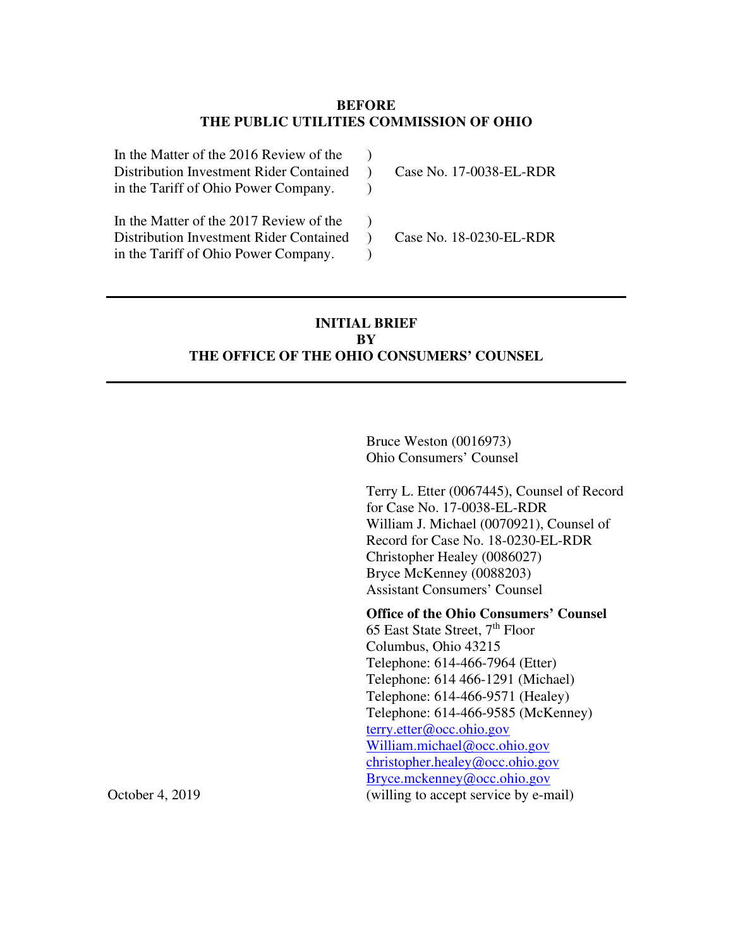## **BEFORE THE PUBLIC UTILITIES COMMISSION OF OHIO**

| In the Matter of the 2016 Review of the<br>Distribution Investment Rider Contained<br>in the Tariff of Ohio Power Company. | Case No. 17-0038-EL-RDR |
|----------------------------------------------------------------------------------------------------------------------------|-------------------------|
| In the Matter of the 2017 Review of the<br>Distribution Investment Rider Contained<br>in the Tariff of Ohio Power Company. | Case No. 18-0230-EL-RDR |

## **INITIAL BRIEF BY THE OFFICE OF THE OHIO CONSUMERS' COUNSEL**

Bruce Weston (0016973) Ohio Consumers' Counsel

Terry L. Etter (0067445), Counsel of Record for Case No. 17-0038-EL-RDR William J. Michael (0070921), Counsel of Record for Case No. 18-0230-EL-RDR Christopher Healey (0086027) Bryce McKenney (0088203) Assistant Consumers' Counsel

**Office of the Ohio Consumers' Counsel**  65 East State Street, 7th Floor Columbus, Ohio 43215 Telephone: 614-466-7964 (Etter) Telephone: 614 466-1291 (Michael) Telephone: 614-466-9571 (Healey) Telephone: 614-466-9585 (McKenney) terry.etter@occ.ohio.gov William.michael@occ.ohio.gov christopher.healey@occ.ohio.gov Bryce.mckenney@occ.ohio.gov October 4, 2019 (willing to accept service by e-mail)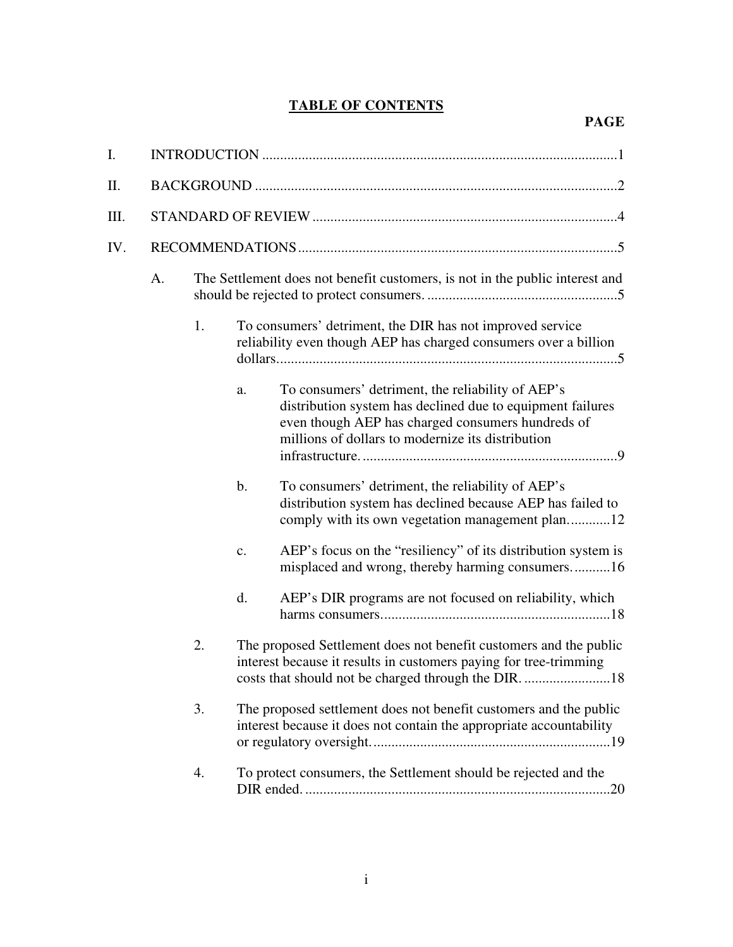## **TABLE OF CONTENTS**

| I.  |    |    |               |                                                                                                                                                                                                                           |  |
|-----|----|----|---------------|---------------------------------------------------------------------------------------------------------------------------------------------------------------------------------------------------------------------------|--|
| Π.  |    |    |               |                                                                                                                                                                                                                           |  |
| Ш.  |    |    |               |                                                                                                                                                                                                                           |  |
| IV. |    |    |               |                                                                                                                                                                                                                           |  |
|     | A. |    |               | The Settlement does not benefit customers, is not in the public interest and                                                                                                                                              |  |
|     |    | 1. |               | To consumers' detriment, the DIR has not improved service<br>reliability even though AEP has charged consumers over a billion                                                                                             |  |
|     |    |    | a.            | To consumers' detriment, the reliability of AEP's<br>distribution system has declined due to equipment failures<br>even though AEP has charged consumers hundreds of<br>millions of dollars to modernize its distribution |  |
|     |    |    | $\mathbf b$ . | To consumers' detriment, the reliability of AEP's<br>distribution system has declined because AEP has failed to<br>comply with its own vegetation management plan12                                                       |  |
|     |    |    | $C_{\bullet}$ | AEP's focus on the "resiliency" of its distribution system is<br>misplaced and wrong, thereby harming consumers16                                                                                                         |  |
|     |    |    | d.            | AEP's DIR programs are not focused on reliability, which                                                                                                                                                                  |  |
|     |    | 2. |               | The proposed Settlement does not benefit customers and the public<br>interest because it results in customers paying for tree-trimming                                                                                    |  |
|     |    | 3. |               | The proposed settlement does not benefit customers and the public<br>interest because it does not contain the appropriate accountability                                                                                  |  |
|     |    | 4. |               | To protect consumers, the Settlement should be rejected and the                                                                                                                                                           |  |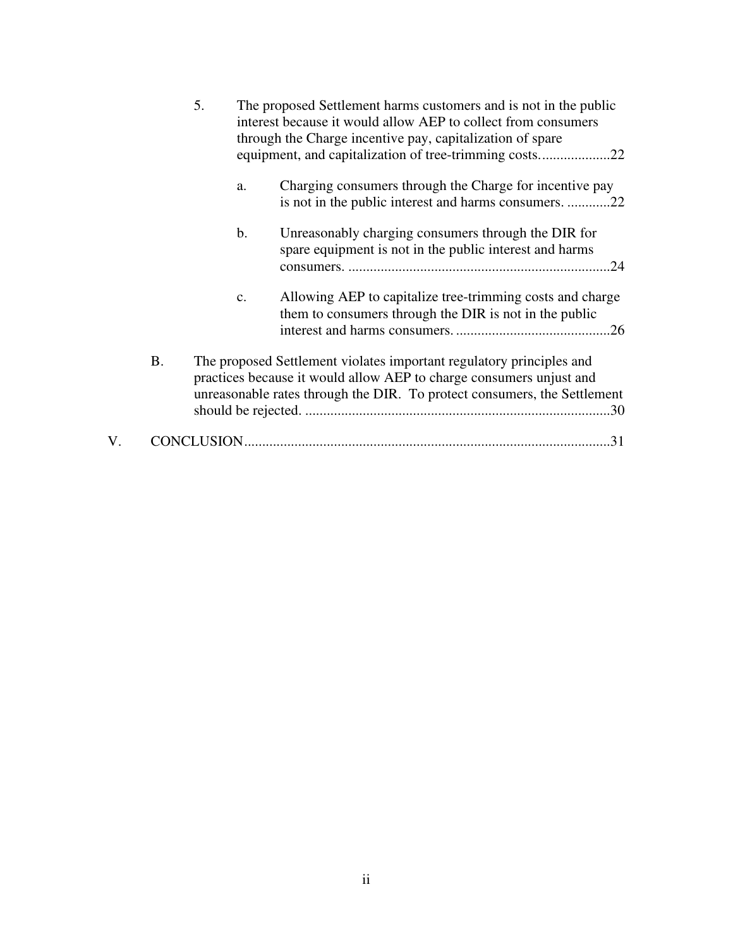|    |           | 5. |               | The proposed Settlement harms customers and is not in the public<br>interest because it would allow AEP to collect from consumers<br>through the Charge incentive pay, capitalization of spare                          |  |
|----|-----------|----|---------------|-------------------------------------------------------------------------------------------------------------------------------------------------------------------------------------------------------------------------|--|
|    |           |    | a.            | Charging consumers through the Charge for incentive pay<br>is not in the public interest and harms consumers. 22                                                                                                        |  |
|    |           |    | $\mathbf b$ . | Unreasonably charging consumers through the DIR for<br>spare equipment is not in the public interest and harms                                                                                                          |  |
|    |           |    | $C_{\bullet}$ | Allowing AEP to capitalize tree-trimming costs and charge<br>them to consumers through the DIR is not in the public                                                                                                     |  |
|    | <b>B.</b> |    |               | The proposed Settlement violates important regulatory principles and<br>practices because it would allow AEP to charge consumers unjust and<br>unreasonable rates through the DIR. To protect consumers, the Settlement |  |
| V. |           |    |               | .31                                                                                                                                                                                                                     |  |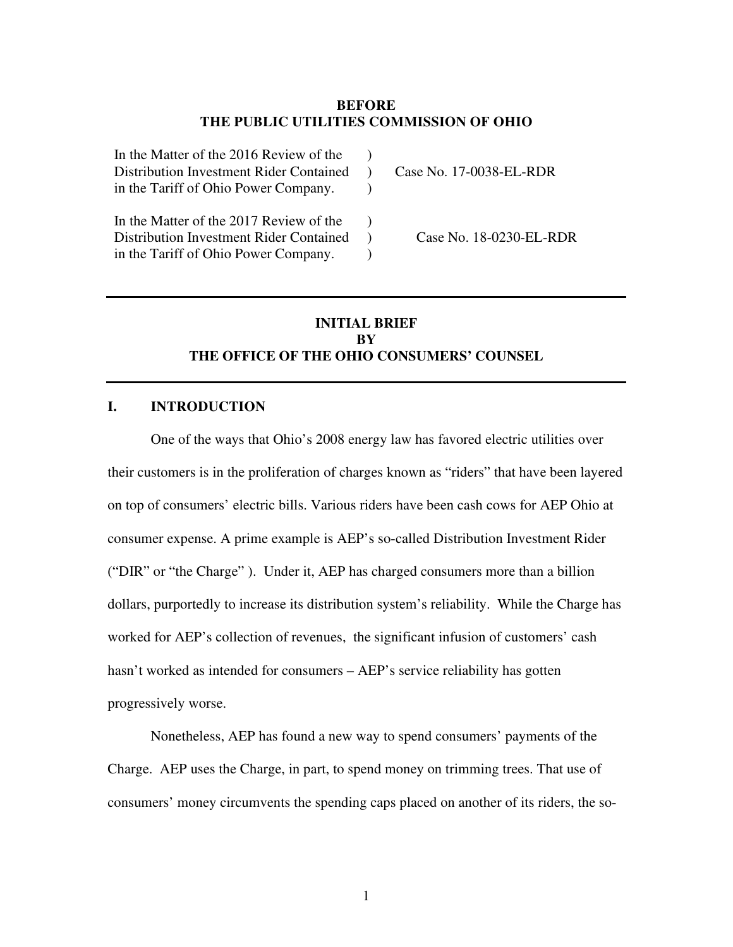#### **BEFORE THE PUBLIC UTILITIES COMMISSION OF OHIO**

| In the Matter of the 2016 Review of the<br>Distribution Investment Rider Contained<br>in the Tariff of Ohio Power Company. | Case No. 17-0038-EL-RDR |
|----------------------------------------------------------------------------------------------------------------------------|-------------------------|
| In the Matter of the 2017 Review of the<br>Distribution Investment Rider Contained<br>in the Tariff of Ohio Power Company. | Case No. 18-0230-EL-RDR |

## **INITIAL BRIEF BY THE OFFICE OF THE OHIO CONSUMERS' COUNSEL**

#### **I. INTRODUCTION**

One of the ways that Ohio's 2008 energy law has favored electric utilities over their customers is in the proliferation of charges known as "riders" that have been layered on top of consumers' electric bills. Various riders have been cash cows for AEP Ohio at consumer expense. A prime example is AEP's so-called Distribution Investment Rider ("DIR" or "the Charge" ). Under it, AEP has charged consumers more than a billion dollars, purportedly to increase its distribution system's reliability. While the Charge has worked for AEP's collection of revenues, the significant infusion of customers' cash hasn't worked as intended for consumers – AEP's service reliability has gotten progressively worse.

Nonetheless, AEP has found a new way to spend consumers' payments of the Charge. AEP uses the Charge, in part, to spend money on trimming trees. That use of consumers' money circumvents the spending caps placed on another of its riders, the so-

1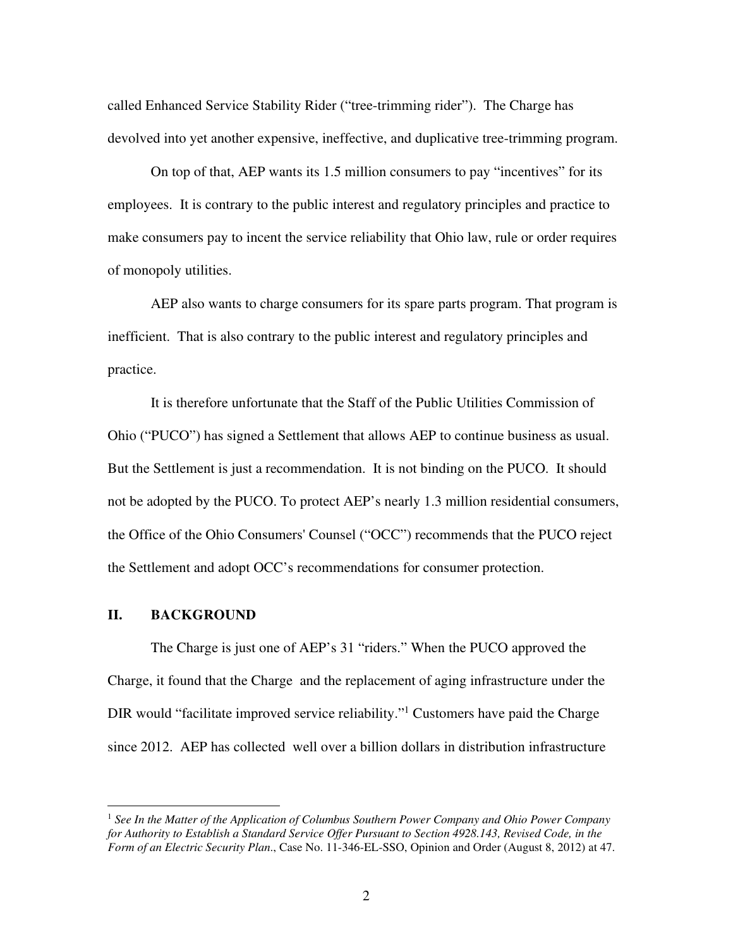called Enhanced Service Stability Rider ("tree-trimming rider"). The Charge has devolved into yet another expensive, ineffective, and duplicative tree-trimming program.

On top of that, AEP wants its 1.5 million consumers to pay "incentives" for its employees. It is contrary to the public interest and regulatory principles and practice to make consumers pay to incent the service reliability that Ohio law, rule or order requires of monopoly utilities.

AEP also wants to charge consumers for its spare parts program. That program is inefficient. That is also contrary to the public interest and regulatory principles and practice.

It is therefore unfortunate that the Staff of the Public Utilities Commission of Ohio ("PUCO") has signed a Settlement that allows AEP to continue business as usual. But the Settlement is just a recommendation. It is not binding on the PUCO. It should not be adopted by the PUCO. To protect AEP's nearly 1.3 million residential consumers, the Office of the Ohio Consumers' Counsel ("OCC") recommends that the PUCO reject the Settlement and adopt OCC's recommendations for consumer protection.

## **II. BACKGROUND**

The Charge is just one of AEP's 31 "riders." When the PUCO approved the Charge, it found that the Charge and the replacement of aging infrastructure under the DIR would "facilitate improved service reliability."<sup>1</sup> Customers have paid the Charge since 2012. AEP has collected well over a billion dollars in distribution infrastructure

<sup>1</sup> *See In the Matter of the Application of Columbus Southern Power Company and Ohio Power Company for Authority to Establish a Standard Service Offer Pursuant to Section 4928.143, Revised Code, in the Form of an Electric Security Plan*., Case No. 11-346-EL-SSO, Opinion and Order (August 8, 2012) at 47.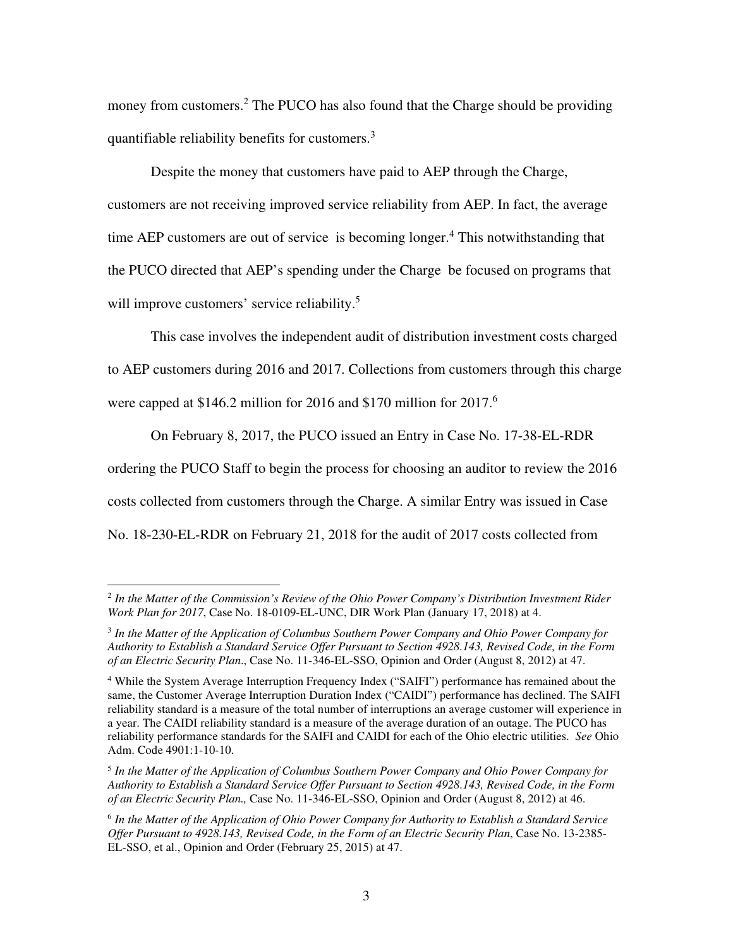money from customers.<sup>2</sup> The PUCO has also found that the Charge should be providing quantifiable reliability benefits for customers.<sup>3</sup>

Despite the money that customers have paid to AEP through the Charge, customers are not receiving improved service reliability from AEP. In fact, the average time AEP customers are out of service is becoming longer.<sup>4</sup> This notwithstanding that the PUCO directed that AEP's spending under the Charge be focused on programs that will improve customers' service reliability.<sup>5</sup>

This case involves the independent audit of distribution investment costs charged to AEP customers during 2016 and 2017. Collections from customers through this charge were capped at \$146.2 million for 2016 and \$170 million for 2017.<sup>6</sup>

On February 8, 2017, the PUCO issued an Entry in Case No. 17-38-EL-RDR ordering the PUCO Staff to begin the process for choosing an auditor to review the 2016 costs collected from customers through the Charge. A similar Entry was issued in Case No. 18-230-EL-RDR on February 21, 2018 for the audit of 2017 costs collected from

<sup>2</sup> *In the Matter of the Commission's Review of the Ohio Power Company's Distribution Investment Rider Work Plan for 2017*, Case No. 18-0109-EL-UNC, DIR Work Plan (January 17, 2018) at 4.

<sup>3</sup> *In the Matter of the Application of Columbus Southern Power Company and Ohio Power Company for Authority to Establish a Standard Service Offer Pursuant to Section 4928.143, Revised Code, in the Form of an Electric Security Plan*., Case No. 11-346-EL-SSO, Opinion and Order (August 8, 2012) at 47.

<sup>&</sup>lt;sup>4</sup> While the System Average Interruption Frequency Index ("SAIFI") performance has remained about the same, the Customer Average Interruption Duration Index ("CAIDI") performance has declined. The SAIFI reliability standard is a measure of the total number of interruptions an average customer will experience in a year. The CAIDI reliability standard is a measure of the average duration of an outage. The PUCO has reliability performance standards for the SAIFI and CAIDI for each of the Ohio electric utilities. *See* Ohio Adm. Code 4901:1-10-10.

<sup>5</sup> *In the Matter of the Application of Columbus Southern Power Company and Ohio Power Company for Authority to Establish a Standard Service Offer Pursuant to Section 4928.143, Revised Code, in the Form of an Electric Security Plan.,* Case No. 11-346-EL-SSO, Opinion and Order (August 8, 2012) at 46.

<sup>6</sup> *In the Matter of the Application of Ohio Power Company for Authority to Establish a Standard Service Offer Pursuant to 4928.143, Revised Code, in the Form of an Electric Security Plan*, Case No. 13-2385- EL-SSO, et al., Opinion and Order (February 25, 2015) at 47.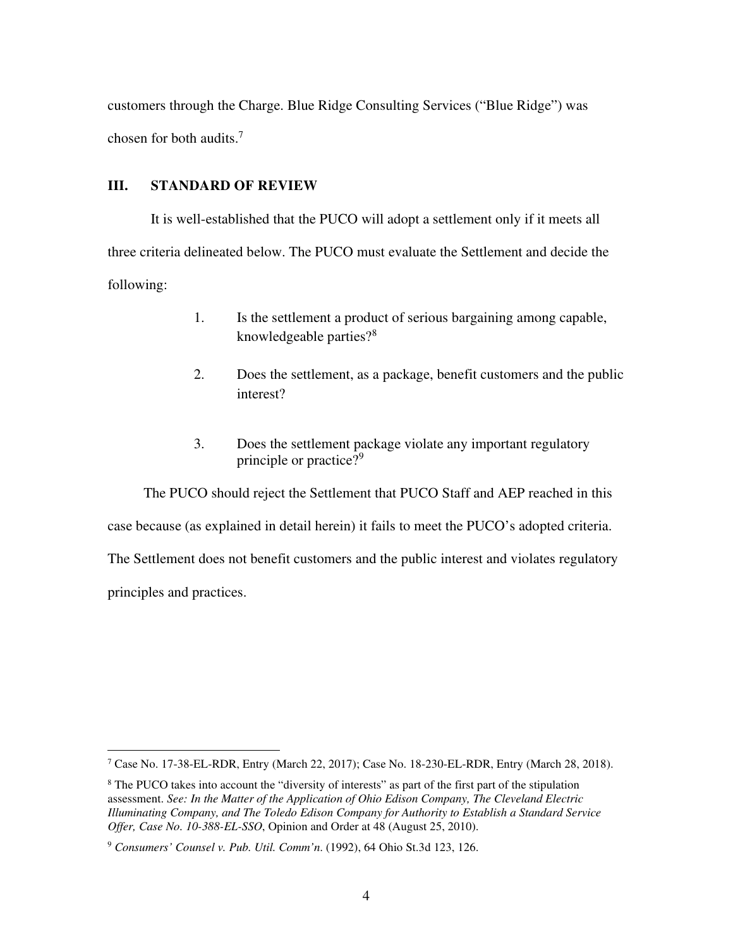customers through the Charge. Blue Ridge Consulting Services ("Blue Ridge") was chosen for both audits.<sup>7</sup>

## **III. STANDARD OF REVIEW**

It is well-established that the PUCO will adopt a settlement only if it meets all three criteria delineated below. The PUCO must evaluate the Settlement and decide the following:

- 1. Is the settlement a product of serious bargaining among capable, knowledgeable parties?<sup>8</sup>
- 2. Does the settlement, as a package, benefit customers and the public interest?
- 3. Does the settlement package violate any important regulatory principle or practice?<sup>9</sup>

 The PUCO should reject the Settlement that PUCO Staff and AEP reached in this case because (as explained in detail herein) it fails to meet the PUCO's adopted criteria. The Settlement does not benefit customers and the public interest and violates regulatory principles and practices.

<sup>&</sup>lt;sup>7</sup> Case No. 17-38-EL-RDR, Entry (March 22, 2017); Case No. 18-230-EL-RDR, Entry (March 28, 2018).

<sup>&</sup>lt;sup>8</sup> The PUCO takes into account the "diversity of interests" as part of the first part of the stipulation assessment. *See: In the Matter of the Application of Ohio Edison Company, The Cleveland Electric Illuminating Company, and The Toledo Edison Company for Authority to Establish a Standard Service Offer, Case No. 10-388-EL-SSO*, Opinion and Order at 48 (August 25, 2010).

<sup>9</sup> *Consumers' Counsel v. Pub. Util. Comm'n*. (1992), 64 Ohio St.3d 123, 126.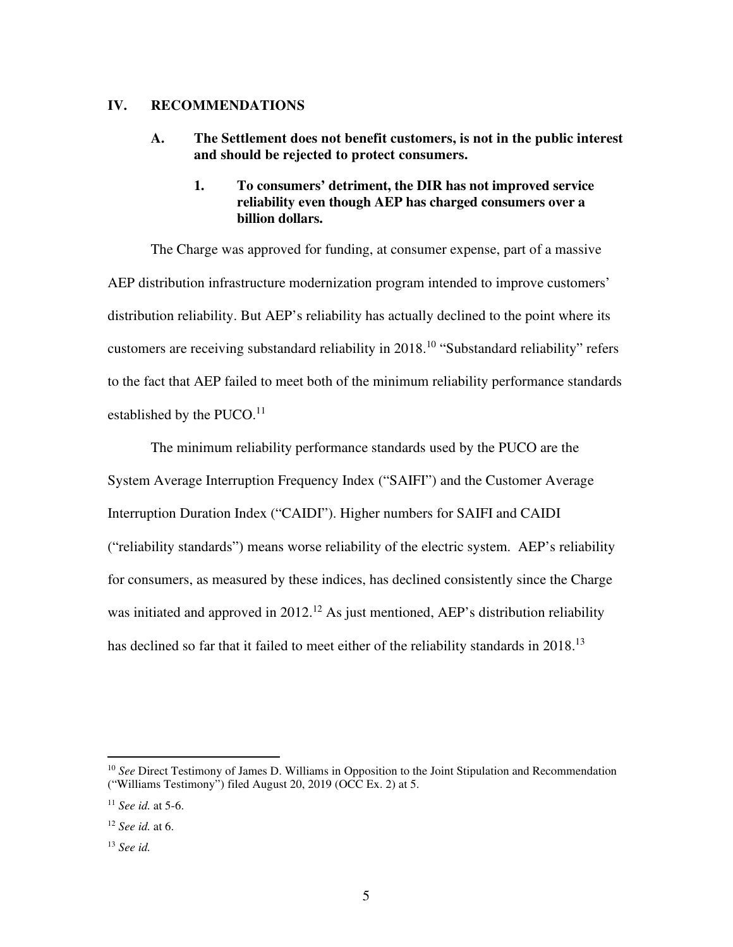#### **IV. RECOMMENDATIONS**

- **A. The Settlement does not benefit customers, is not in the public interest and should be rejected to protect consumers.** 
	- **1. To consumers' detriment, the DIR has not improved service reliability even though AEP has charged consumers over a billion dollars.**

The Charge was approved for funding, at consumer expense, part of a massive AEP distribution infrastructure modernization program intended to improve customers' distribution reliability. But AEP's reliability has actually declined to the point where its customers are receiving substandard reliability in 2018.<sup>10</sup> "Substandard reliability" refers to the fact that AEP failed to meet both of the minimum reliability performance standards established by the  $PUCO<sup>11</sup>$ 

The minimum reliability performance standards used by the PUCO are the System Average Interruption Frequency Index ("SAIFI") and the Customer Average Interruption Duration Index ("CAIDI"). Higher numbers for SAIFI and CAIDI ("reliability standards") means worse reliability of the electric system. AEP's reliability for consumers, as measured by these indices, has declined consistently since the Charge was initiated and approved in  $2012<sup>12</sup>$  As just mentioned, AEP's distribution reliability has declined so far that it failed to meet either of the reliability standards in 2018.<sup>13</sup>

<sup>&</sup>lt;sup>10</sup> See Direct Testimony of James D. Williams in Opposition to the Joint Stipulation and Recommendation ("Williams Testimony") filed August 20, 2019 (OCC Ex. 2) at 5.

<sup>11</sup> *See id.* at 5-6.

<sup>12</sup> *See id.* at 6.

<sup>13</sup> *See id.*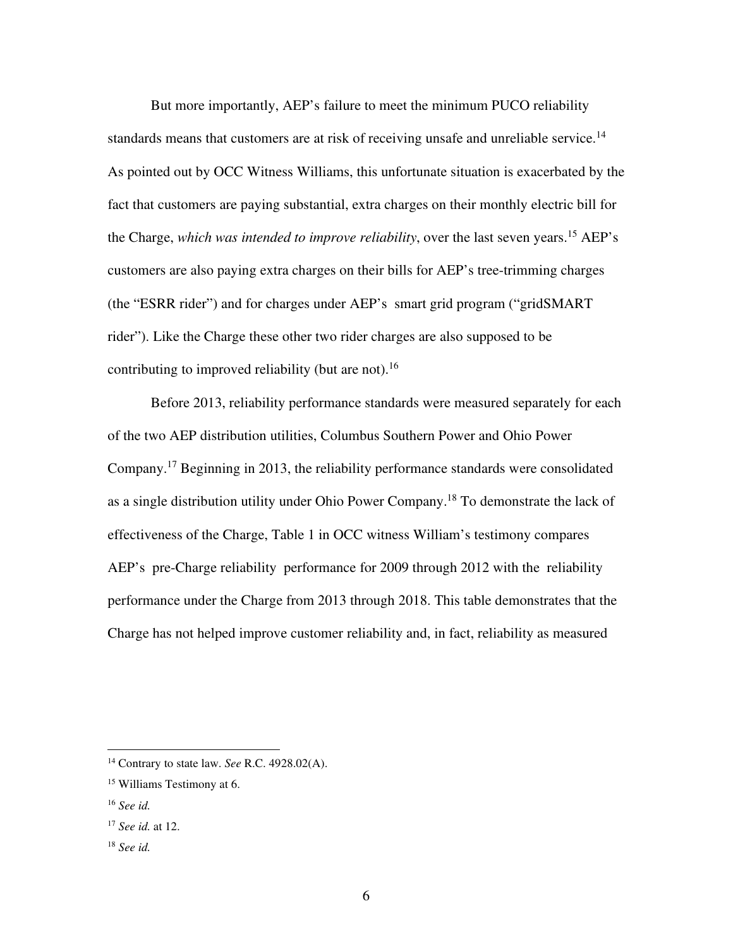But more importantly, AEP's failure to meet the minimum PUCO reliability standards means that customers are at risk of receiving unsafe and unreliable service.<sup>14</sup> As pointed out by OCC Witness Williams, this unfortunate situation is exacerbated by the fact that customers are paying substantial, extra charges on their monthly electric bill for the Charge, *which was intended to improve reliability*, over the last seven years.<sup>15</sup> AEP's customers are also paying extra charges on their bills for AEP's tree-trimming charges (the "ESRR rider") and for charges under AEP's smart grid program ("gridSMART rider"). Like the Charge these other two rider charges are also supposed to be contributing to improved reliability (but are not).<sup>16</sup>

Before 2013, reliability performance standards were measured separately for each of the two AEP distribution utilities, Columbus Southern Power and Ohio Power Company.<sup>17</sup> Beginning in 2013, the reliability performance standards were consolidated as a single distribution utility under Ohio Power Company.<sup>18</sup> To demonstrate the lack of effectiveness of the Charge, Table 1 in OCC witness William's testimony compares AEP's pre-Charge reliability performance for 2009 through 2012 with the reliability performance under the Charge from 2013 through 2018. This table demonstrates that the Charge has not helped improve customer reliability and, in fact, reliability as measured

<sup>14</sup> Contrary to state law. *See* R.C. 4928.02(A).

<sup>15</sup> Williams Testimony at 6.

<sup>16</sup> *See id.* 

<sup>17</sup> *See id.* at 12.

<sup>18</sup> *See id.*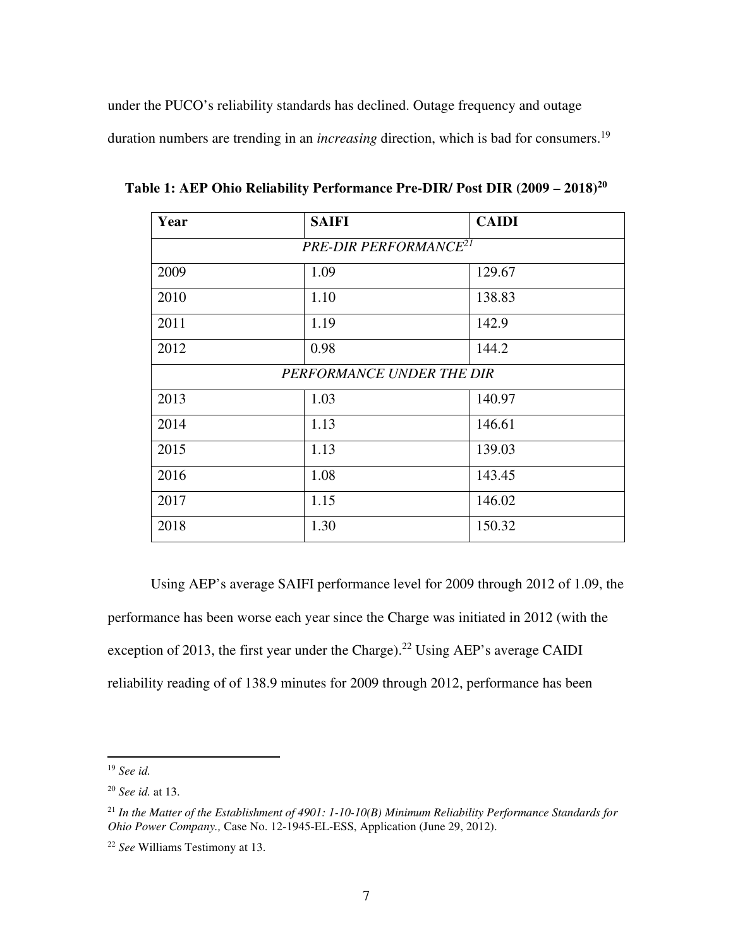under the PUCO's reliability standards has declined. Outage frequency and outage duration numbers are trending in an *increasing* direction, which is bad for consumers.<sup>19</sup>

| Year | <b>SAIFI</b>                      | <b>CAIDI</b> |  |  |  |  |
|------|-----------------------------------|--------------|--|--|--|--|
|      | PRE-DIR PERFORMANCE <sup>21</sup> |              |  |  |  |  |
| 2009 | 1.09                              | 129.67       |  |  |  |  |
| 2010 | 1.10                              | 138.83       |  |  |  |  |
| 2011 | 1.19                              | 142.9        |  |  |  |  |
| 2012 | 0.98                              | 144.2        |  |  |  |  |
|      | PERFORMANCE UNDER THE DIR         |              |  |  |  |  |
| 2013 | 1.03                              | 140.97       |  |  |  |  |
| 2014 | 1.13                              | 146.61       |  |  |  |  |
| 2015 | 1.13                              | 139.03       |  |  |  |  |
| 2016 | 1.08                              | 143.45       |  |  |  |  |
| 2017 | 1.15                              | 146.02       |  |  |  |  |
| 2018 | 1.30                              | 150.32       |  |  |  |  |

**Table 1: AEP Ohio Reliability Performance Pre-DIR/ Post DIR (2009 – 2018)<sup>20</sup>**

Using AEP's average SAIFI performance level for 2009 through 2012 of 1.09, the performance has been worse each year since the Charge was initiated in 2012 (with the exception of 2013, the first year under the Charge).<sup>22</sup> Using AEP's average CAIDI reliability reading of of 138.9 minutes for 2009 through 2012, performance has been

<sup>19</sup> *See id.* 

<sup>20</sup> *See id.* at 13.

<sup>21</sup> *In the Matter of the Establishment of 4901: 1-10-10(B) Minimum Reliability Performance Standards for Ohio Power Company.,* Case No. 12-1945-EL-ESS, Application (June 29, 2012).

<sup>22</sup> *See* Williams Testimony at 13.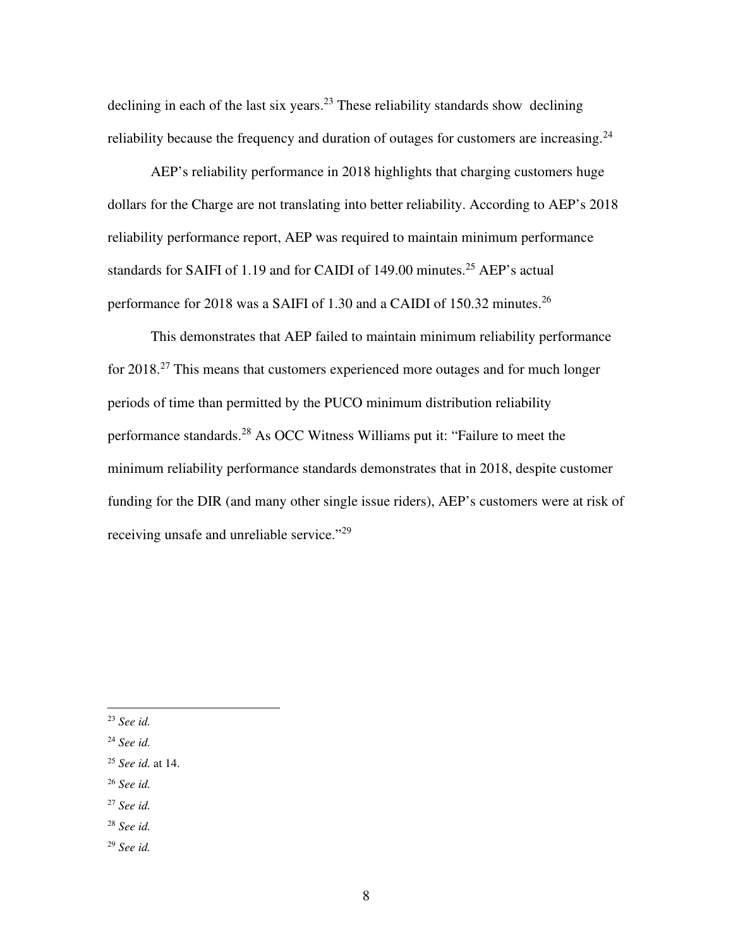declining in each of the last six years.<sup>23</sup> These reliability standards show declining reliability because the frequency and duration of outages for customers are increasing.<sup>24</sup>

AEP's reliability performance in 2018 highlights that charging customers huge dollars for the Charge are not translating into better reliability. According to AEP's 2018 reliability performance report, AEP was required to maintain minimum performance standards for SAIFI of 1.19 and for CAIDI of 149.00 minutes.<sup>25</sup> AEP's actual performance for 2018 was a SAIFI of 1.30 and a CAIDI of 150.32 minutes.<sup>26</sup>

This demonstrates that AEP failed to maintain minimum reliability performance for  $2018<sup>27</sup>$  This means that customers experienced more outages and for much longer periods of time than permitted by the PUCO minimum distribution reliability performance standards.<sup>28</sup> As OCC Witness Williams put it: "Failure to meet the minimum reliability performance standards demonstrates that in 2018, despite customer funding for the DIR (and many other single issue riders), AEP's customers were at risk of receiving unsafe and unreliable service."<sup>29</sup>

<sup>26</sup> *See id.* 

<sup>23</sup> *See id.* 

<sup>24</sup> *See id.* 

<sup>25</sup> *See id.* at 14.

<sup>27</sup> *See id.* 

<sup>28</sup> *See id.* 

<sup>29</sup> *See id.*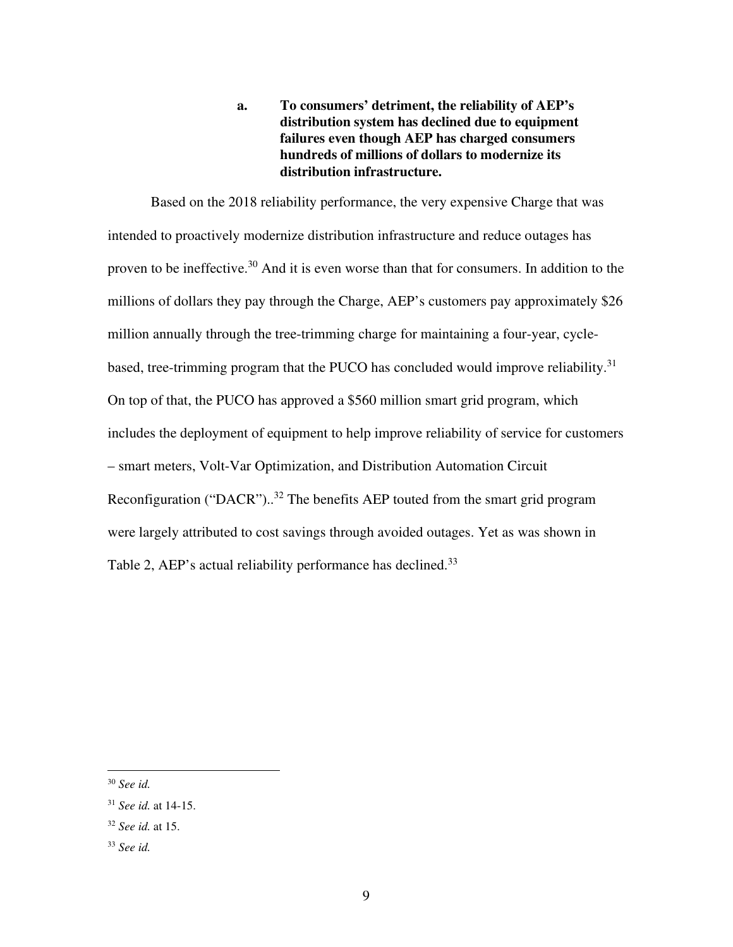**a. To consumers' detriment, the reliability of AEP's distribution system has declined due to equipment failures even though AEP has charged consumers hundreds of millions of dollars to modernize its distribution infrastructure.** 

Based on the 2018 reliability performance, the very expensive Charge that was intended to proactively modernize distribution infrastructure and reduce outages has proven to be ineffective.<sup>30</sup> And it is even worse than that for consumers. In addition to the millions of dollars they pay through the Charge, AEP's customers pay approximately \$26 million annually through the tree-trimming charge for maintaining a four-year, cyclebased, tree-trimming program that the PUCO has concluded would improve reliability.<sup>31</sup> On top of that, the PUCO has approved a \$560 million smart grid program, which includes the deployment of equipment to help improve reliability of service for customers – smart meters, Volt-Var Optimization, and Distribution Automation Circuit Reconfiguration ("DACR")..<sup>32</sup> The benefits AEP touted from the smart grid program were largely attributed to cost savings through avoided outages. Yet as was shown in Table 2, AEP's actual reliability performance has declined.<sup>33</sup>

<sup>30</sup> *See id.* 

<sup>31</sup> *See id.* at 14-15.

<sup>32</sup> *See id.* at 15.

<sup>33</sup> *See id.*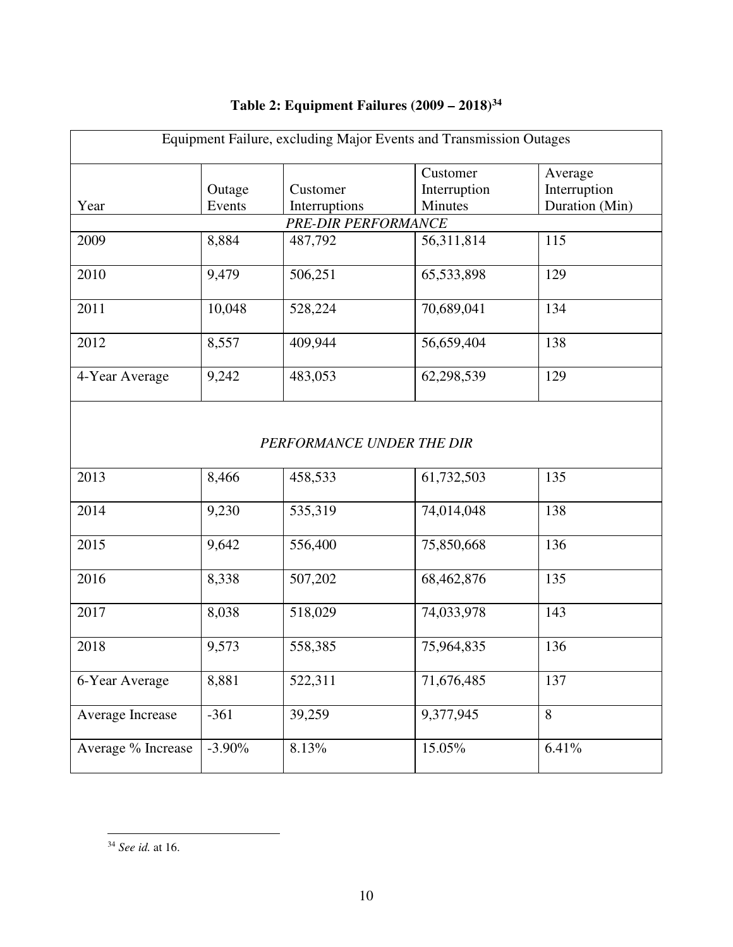| Equipment Failure, excluding Major Events and Transmission Outages |                           |               |              |                |  |  |  |  |
|--------------------------------------------------------------------|---------------------------|---------------|--------------|----------------|--|--|--|--|
|                                                                    |                           |               | Customer     | Average        |  |  |  |  |
|                                                                    | Outage                    | Customer      | Interruption | Interruption   |  |  |  |  |
| Year                                                               | Events                    | Interruptions | Minutes      | Duration (Min) |  |  |  |  |
|                                                                    | PRE-DIR PERFORMANCE       |               |              |                |  |  |  |  |
| 2009                                                               | 8,884                     | 487,792       | 56,311,814   | 115            |  |  |  |  |
|                                                                    |                           |               |              |                |  |  |  |  |
| 2010                                                               | 9,479                     | 506,251       | 65,533,898   | 129            |  |  |  |  |
| 2011                                                               | 10,048                    | 528,224       | 70,689,041   | 134            |  |  |  |  |
| 2012                                                               | 8,557                     | 409,944       | 56,659,404   | 138            |  |  |  |  |
| 4-Year Average                                                     | 9,242                     | 483,053       | 62,298,539   | 129            |  |  |  |  |
|                                                                    | PERFORMANCE UNDER THE DIR |               |              |                |  |  |  |  |
| 2013                                                               | 8,466                     | 458,533       | 61,732,503   | 135            |  |  |  |  |
| 2014                                                               | 9,230                     | 535,319       | 74,014,048   | 138            |  |  |  |  |
| 2015                                                               | 9,642                     | 556,400       | 75,850,668   | 136            |  |  |  |  |
| 2016                                                               | 8,338                     | 507,202       | 68,462,876   | 135            |  |  |  |  |
| 2017                                                               | 8,038                     | 518,029       | 74,033,978   | 143            |  |  |  |  |
| 2018                                                               | 9,573                     | 558,385       | 75,964,835   | 136            |  |  |  |  |
| 6-Year Average                                                     | 8,881                     | 522,311       | 71,676,485   | 137            |  |  |  |  |
| Average Increase                                                   | $-361$                    | 39,259        | 9,377,945    | 8              |  |  |  |  |
| Average % Increase                                                 | $-3.90\%$                 | 8.13%         | 15.05%       | 6.41%          |  |  |  |  |

# **Table 2: Equipment Failures (2009 – 2018)<sup>34</sup>**

<sup>34</sup> *See id.* at 16.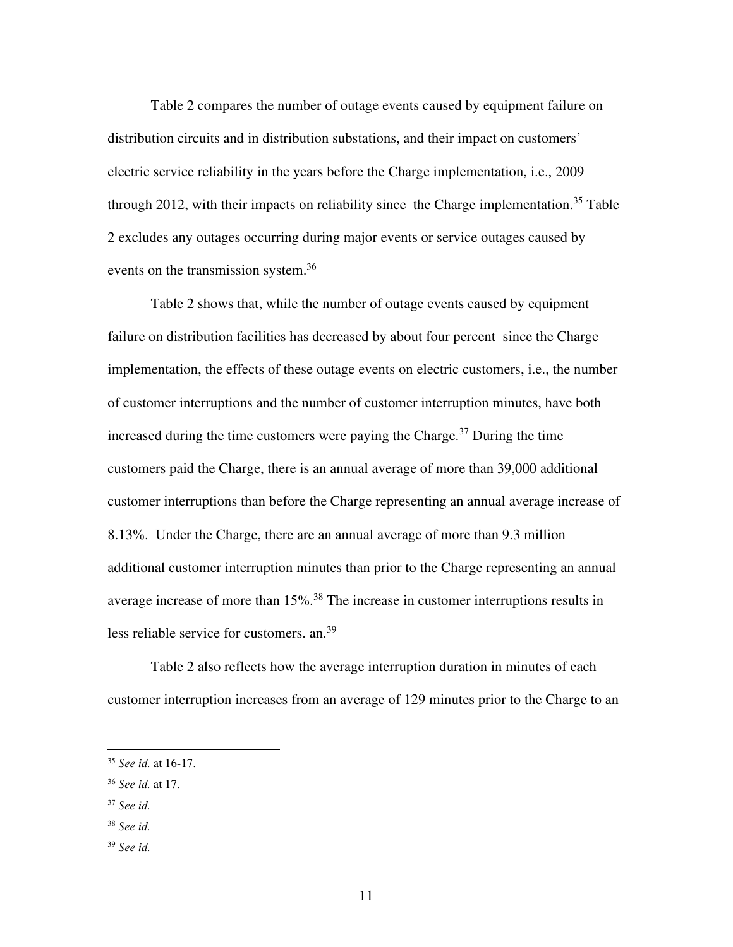Table 2 compares the number of outage events caused by equipment failure on distribution circuits and in distribution substations, and their impact on customers' electric service reliability in the years before the Charge implementation, i.e., 2009 through 2012, with their impacts on reliability since the Charge implementation.<sup>35</sup> Table 2 excludes any outages occurring during major events or service outages caused by events on the transmission system.<sup>36</sup>

Table 2 shows that, while the number of outage events caused by equipment failure on distribution facilities has decreased by about four percent since the Charge implementation, the effects of these outage events on electric customers, i.e., the number of customer interruptions and the number of customer interruption minutes, have both increased during the time customers were paying the Charge.<sup>37</sup> During the time customers paid the Charge, there is an annual average of more than 39,000 additional customer interruptions than before the Charge representing an annual average increase of 8.13%. Under the Charge, there are an annual average of more than 9.3 million additional customer interruption minutes than prior to the Charge representing an annual average increase of more than 15%.<sup>38</sup> The increase in customer interruptions results in less reliable service for customers. an.<sup>39</sup>

Table 2 also reflects how the average interruption duration in minutes of each customer interruption increases from an average of 129 minutes prior to the Charge to an

<sup>35</sup> *See id.* at 16-17.

<sup>36</sup> *See id.* at 17.

<sup>37</sup> *See id.* 

<sup>38</sup> *See id.* 

<sup>39</sup> *See id.*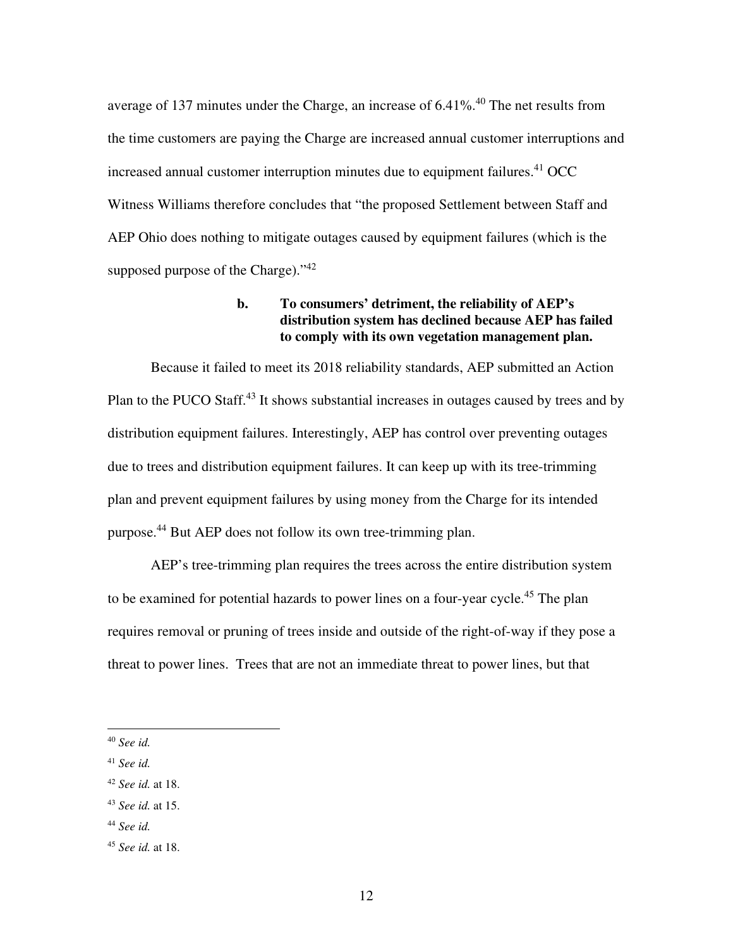average of 137 minutes under the Charge, an increase of  $6.41\%$ .<sup>40</sup> The net results from the time customers are paying the Charge are increased annual customer interruptions and increased annual customer interruption minutes due to equipment failures. $41$  OCC Witness Williams therefore concludes that "the proposed Settlement between Staff and AEP Ohio does nothing to mitigate outages caused by equipment failures (which is the supposed purpose of the Charge)." $42$ 

## **b. To consumers' detriment, the reliability of AEP's distribution system has declined because AEP has failed to comply with its own vegetation management plan.**

Because it failed to meet its 2018 reliability standards, AEP submitted an Action Plan to the PUCO Staff.<sup>43</sup> It shows substantial increases in outages caused by trees and by distribution equipment failures. Interestingly, AEP has control over preventing outages due to trees and distribution equipment failures. It can keep up with its tree-trimming plan and prevent equipment failures by using money from the Charge for its intended purpose.<sup>44</sup> But AEP does not follow its own tree-trimming plan.

AEP's tree-trimming plan requires the trees across the entire distribution system to be examined for potential hazards to power lines on a four-year cycle.<sup>45</sup> The plan requires removal or pruning of trees inside and outside of the right-of-way if they pose a threat to power lines. Trees that are not an immediate threat to power lines, but that

<sup>40</sup> *See id.* 

<sup>41</sup> *See id.* 

<sup>42</sup> *See id.* at 18.

<sup>43</sup> *See id.* at 15.

<sup>44</sup> *See id.* 

<sup>45</sup> *See id.* at 18.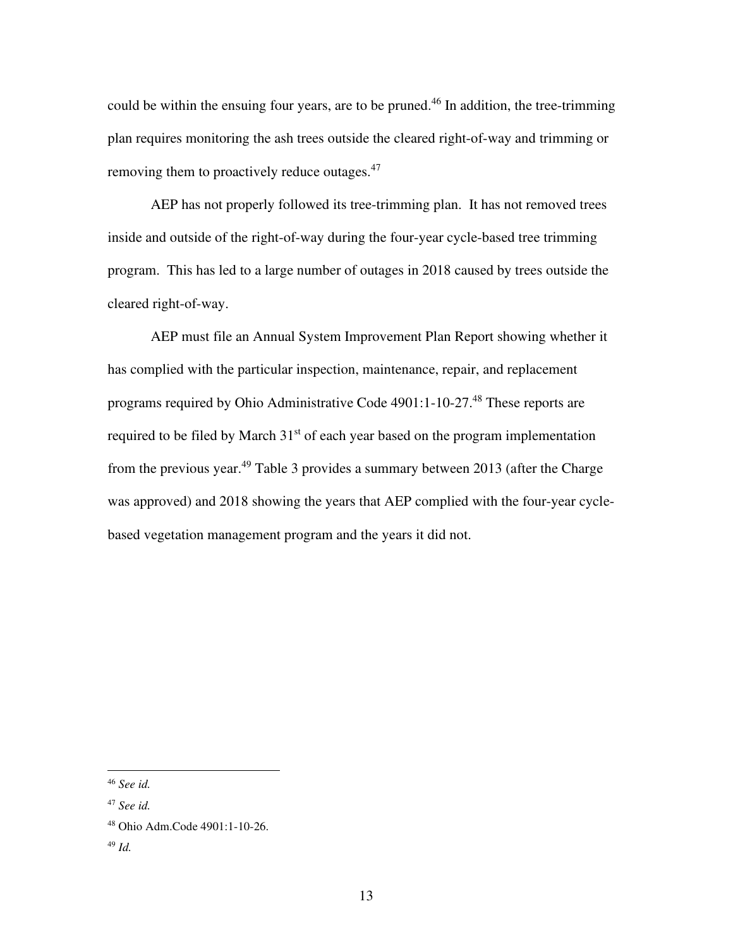could be within the ensuing four years, are to be pruned.<sup>46</sup> In addition, the tree-trimming plan requires monitoring the ash trees outside the cleared right-of-way and trimming or removing them to proactively reduce outages.<sup>47</sup>

AEP has not properly followed its tree-trimming plan. It has not removed trees inside and outside of the right-of-way during the four-year cycle-based tree trimming program. This has led to a large number of outages in 2018 caused by trees outside the cleared right-of-way.

AEP must file an Annual System Improvement Plan Report showing whether it has complied with the particular inspection, maintenance, repair, and replacement programs required by Ohio Administrative Code 4901:1-10-27.<sup>48</sup> These reports are required to be filed by March  $31<sup>st</sup>$  of each year based on the program implementation from the previous year.<sup>49</sup> Table 3 provides a summary between 2013 (after the Charge was approved) and 2018 showing the years that AEP complied with the four-year cyclebased vegetation management program and the years it did not.

<sup>46</sup> *See id.* 

<sup>47</sup> *See id.* 

<sup>48</sup> Ohio Adm.Code 4901:1-10-26.

<sup>49</sup> *Id.*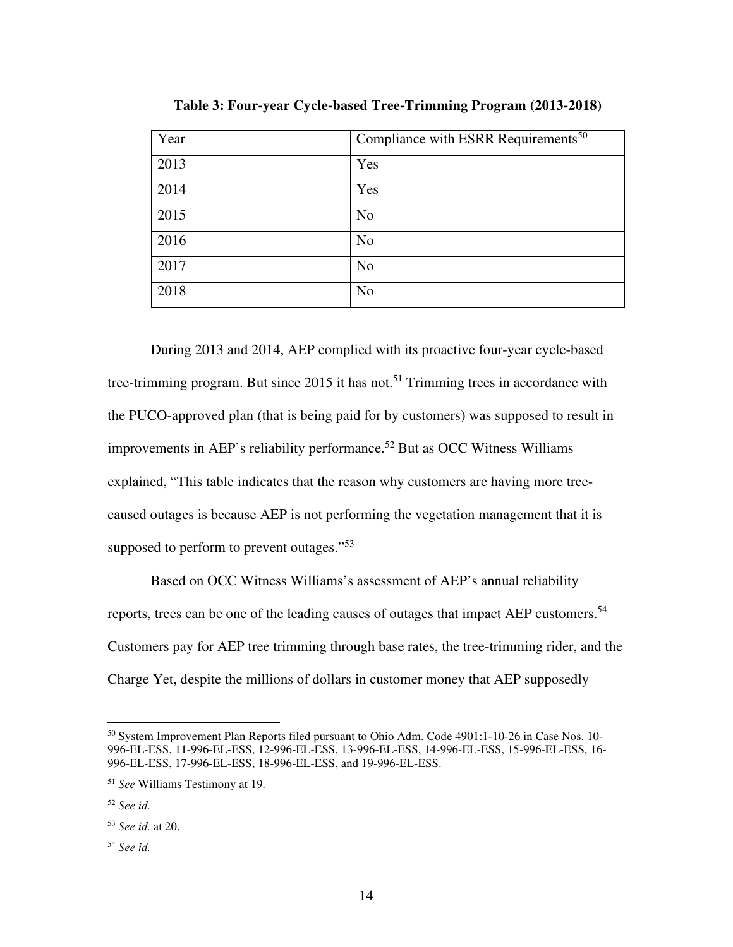| Year | Compliance with ESRR Requirements <sup>50</sup> |
|------|-------------------------------------------------|
| 2013 | Yes                                             |
| 2014 | Yes                                             |
| 2015 | N <sub>o</sub>                                  |
| 2016 | N <sub>o</sub>                                  |
| 2017 | N <sub>o</sub>                                  |
| 2018 | N <sub>o</sub>                                  |

**Table 3: Four-year Cycle-based Tree-Trimming Program (2013-2018)** 

During 2013 and 2014, AEP complied with its proactive four-year cycle-based tree-trimming program. But since 2015 it has not.<sup>51</sup> Trimming trees in accordance with the PUCO-approved plan (that is being paid for by customers) was supposed to result in improvements in AEP's reliability performance.<sup>52</sup> But as OCC Witness Williams explained, "This table indicates that the reason why customers are having more treecaused outages is because AEP is not performing the vegetation management that it is supposed to perform to prevent outages."<sup>53</sup>

Based on OCC Witness Williams's assessment of AEP's annual reliability reports, trees can be one of the leading causes of outages that impact AEP customers.<sup>54</sup> Customers pay for AEP tree trimming through base rates, the tree-trimming rider, and the Charge Yet, despite the millions of dollars in customer money that AEP supposedly

<sup>50</sup> System Improvement Plan Reports filed pursuant to Ohio Adm. Code 4901:1-10-26 in Case Nos. 10- 996-EL-ESS, 11-996-EL-ESS, 12-996-EL-ESS, 13-996-EL-ESS, 14-996-EL-ESS, 15-996-EL-ESS, 16- 996-EL-ESS, 17-996-EL-ESS, 18-996-EL-ESS, and 19-996-EL-ESS.

<sup>51</sup> *See* Williams Testimony at 19*.* 

<sup>52</sup> *See id.* 

<sup>53</sup> *See id.* at 20.

<sup>54</sup> *See id.*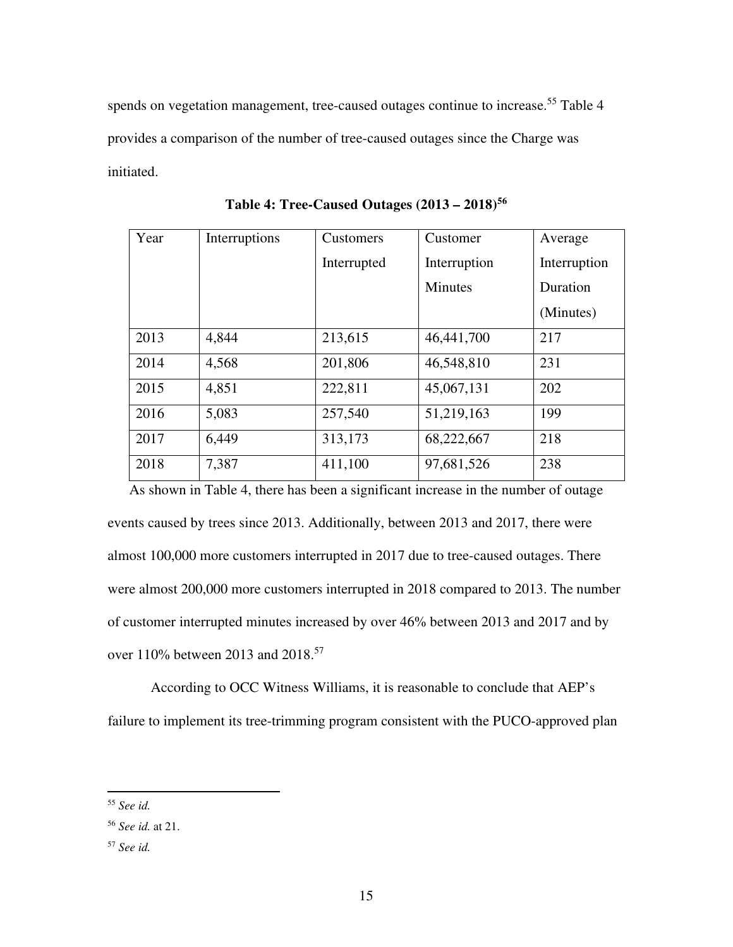spends on vegetation management, tree-caused outages continue to increase.<sup>55</sup> Table 4 provides a comparison of the number of tree-caused outages since the Charge was initiated.

| Year | Interruptions | Customers   | Customer       | Average      |
|------|---------------|-------------|----------------|--------------|
|      |               | Interrupted | Interruption   | Interruption |
|      |               |             | <b>Minutes</b> | Duration     |
|      |               |             |                | (Minutes)    |
| 2013 | 4,844         | 213,615     | 46,441,700     | 217          |
| 2014 | 4,568         | 201,806     | 46,548,810     | 231          |
| 2015 | 4,851         | 222,811     | 45,067,131     | 202          |
| 2016 | 5,083         | 257,540     | 51,219,163     | 199          |
| 2017 | 6,449         | 313,173     | 68,222,667     | 218          |
| 2018 | 7,387         | 411,100     | 97,681,526     | 238          |

**Table 4: Tree-Caused Outages (2013 – 2018)<sup>56</sup>**

 As shown in Table 4, there has been a significant increase in the number of outage events caused by trees since 2013. Additionally, between 2013 and 2017, there were almost 100,000 more customers interrupted in 2017 due to tree-caused outages. There were almost 200,000 more customers interrupted in 2018 compared to 2013. The number of customer interrupted minutes increased by over 46% between 2013 and 2017 and by over 110% between 2013 and 2018.<sup>57</sup>

According to OCC Witness Williams, it is reasonable to conclude that AEP's failure to implement its tree-trimming program consistent with the PUCO-approved plan

<sup>55</sup> *See id.* 

<sup>56</sup> *See id.* at 21.

<sup>57</sup> *See id.*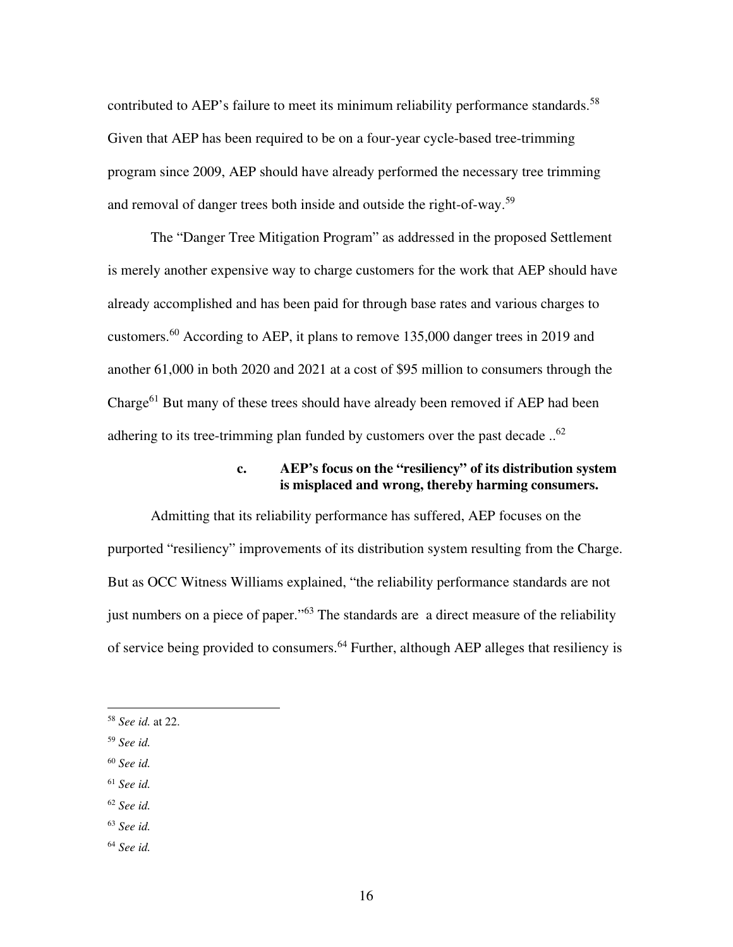contributed to AEP's failure to meet its minimum reliability performance standards.<sup>58</sup> Given that AEP has been required to be on a four-year cycle-based tree-trimming program since 2009, AEP should have already performed the necessary tree trimming and removal of danger trees both inside and outside the right-of-way.<sup>59</sup>

The "Danger Tree Mitigation Program" as addressed in the proposed Settlement is merely another expensive way to charge customers for the work that AEP should have already accomplished and has been paid for through base rates and various charges to customers.<sup>60</sup> According to AEP, it plans to remove 135,000 danger trees in 2019 and another 61,000 in both 2020 and 2021 at a cost of \$95 million to consumers through the Charge<sup>61</sup> But many of these trees should have already been removed if AEP had been adhering to its tree-trimming plan funded by customers over the past decade ..<sup>62</sup>

## **c. AEP's focus on the "resiliency" of its distribution system is misplaced and wrong, thereby harming consumers.**

Admitting that its reliability performance has suffered, AEP focuses on the purported "resiliency" improvements of its distribution system resulting from the Charge. But as OCC Witness Williams explained, "the reliability performance standards are not just numbers on a piece of paper."<sup>63</sup> The standards are a direct measure of the reliability of service being provided to consumers.<sup>64</sup> Further, although AEP alleges that resiliency is

- <sup>59</sup> *See id.*
- <sup>60</sup> *See id.*
- <sup>61</sup> *See id.*
- <sup>62</sup> *See id.*
- <sup>63</sup> *See id.*
- <sup>64</sup> *See id.*

<sup>58</sup> *See id.* at 22.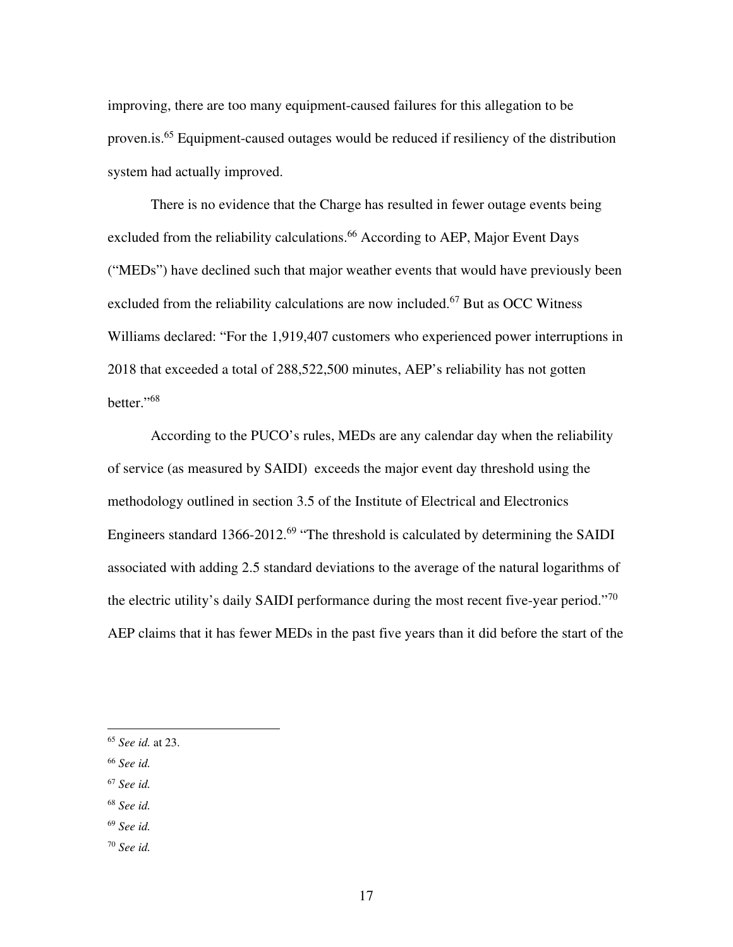improving, there are too many equipment-caused failures for this allegation to be proven.is.<sup>65</sup> Equipment-caused outages would be reduced if resiliency of the distribution system had actually improved.

There is no evidence that the Charge has resulted in fewer outage events being excluded from the reliability calculations.<sup>66</sup> According to AEP, Major Event Days ("MEDs") have declined such that major weather events that would have previously been excluded from the reliability calculations are now included.<sup>67</sup> But as OCC Witness Williams declared: "For the 1,919,407 customers who experienced power interruptions in 2018 that exceeded a total of 288,522,500 minutes, AEP's reliability has not gotten better."<sup>68</sup>

According to the PUCO's rules, MEDs are any calendar day when the reliability of service (as measured by SAIDI) exceeds the major event day threshold using the methodology outlined in section 3.5 of the Institute of Electrical and Electronics Engineers standard  $1366 - 2012$ .<sup>69</sup> "The threshold is calculated by determining the SAIDI associated with adding 2.5 standard deviations to the average of the natural logarithms of the electric utility's daily SAIDI performance during the most recent five-year period."<sup>70</sup> AEP claims that it has fewer MEDs in the past five years than it did before the start of the

- <sup>67</sup> *See id.*
- <sup>68</sup> *See id.*
- <sup>69</sup> *See id.*
- <sup>70</sup> *See id.*

<sup>65</sup> *See id.* at 23.

<sup>66</sup> *See id.*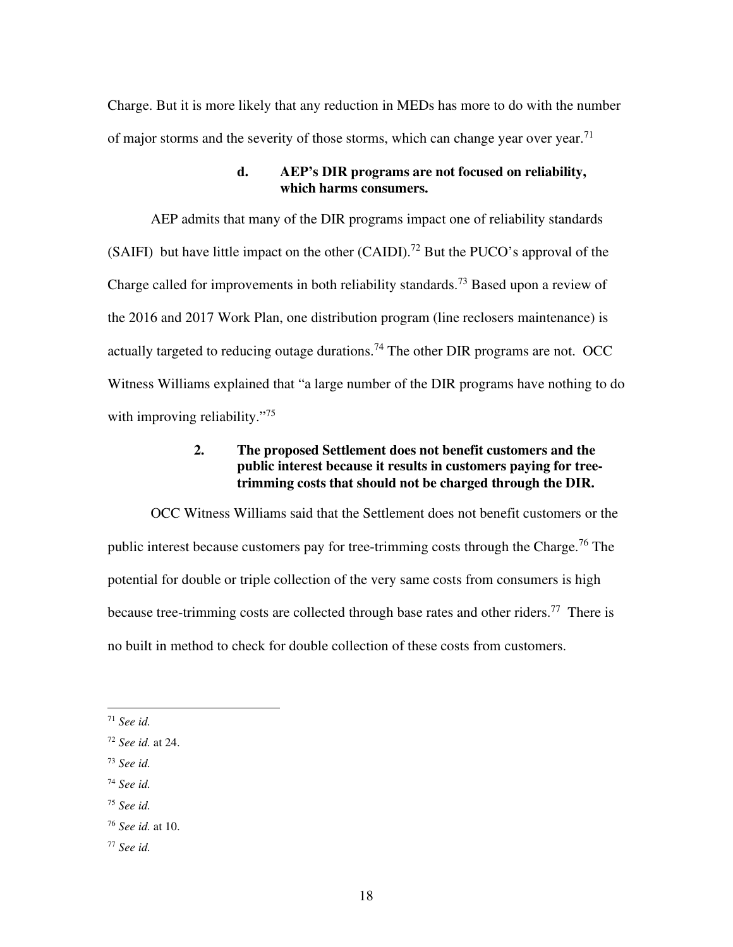Charge. But it is more likely that any reduction in MEDs has more to do with the number of major storms and the severity of those storms, which can change year over year.<sup>71</sup>

#### **d. AEP's DIR programs are not focused on reliability, which harms consumers.**

AEP admits that many of the DIR programs impact one of reliability standards (SAIFI) but have little impact on the other  $(CAIDI)<sup>72</sup>$  But the PUCO's approval of the Charge called for improvements in both reliability standards.<sup>73</sup> Based upon a review of the 2016 and 2017 Work Plan, one distribution program (line reclosers maintenance) is actually targeted to reducing outage durations.<sup>74</sup> The other DIR programs are not. OCC Witness Williams explained that "a large number of the DIR programs have nothing to do with improving reliability."<sup>75</sup>

## **2. The proposed Settlement does not benefit customers and the public interest because it results in customers paying for treetrimming costs that should not be charged through the DIR.**

OCC Witness Williams said that the Settlement does not benefit customers or the public interest because customers pay for tree-trimming costs through the Charge.<sup>76</sup> The potential for double or triple collection of the very same costs from consumers is high because tree-trimming costs are collected through base rates and other riders.<sup>77</sup> There is no built in method to check for double collection of these costs from customers.

- <sup>73</sup> *See id.*
- <sup>74</sup> *See id.*
- <sup>75</sup> *See id.*

<sup>77</sup> *See id.* 

<sup>71</sup> *See id.* 

<sup>72</sup> *See id.* at 24.

<sup>76</sup> *See id.* at 10.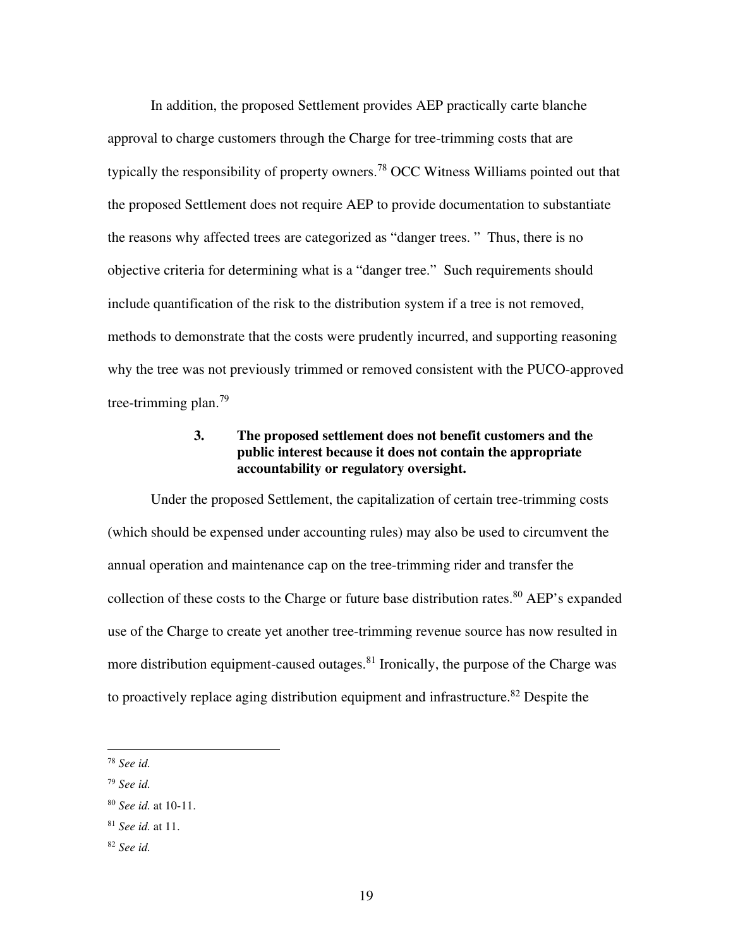In addition, the proposed Settlement provides AEP practically carte blanche approval to charge customers through the Charge for tree-trimming costs that are typically the responsibility of property owners.<sup>78</sup> OCC Witness Williams pointed out that the proposed Settlement does not require AEP to provide documentation to substantiate the reasons why affected trees are categorized as "danger trees. " Thus, there is no objective criteria for determining what is a "danger tree." Such requirements should include quantification of the risk to the distribution system if a tree is not removed, methods to demonstrate that the costs were prudently incurred, and supporting reasoning why the tree was not previously trimmed or removed consistent with the PUCO-approved tree-trimming plan.<sup>79</sup>

## **3. The proposed settlement does not benefit customers and the public interest because it does not contain the appropriate accountability or regulatory oversight.**

Under the proposed Settlement, the capitalization of certain tree-trimming costs (which should be expensed under accounting rules) may also be used to circumvent the annual operation and maintenance cap on the tree-trimming rider and transfer the collection of these costs to the Charge or future base distribution rates.<sup>80</sup> AEP's expanded use of the Charge to create yet another tree-trimming revenue source has now resulted in more distribution equipment-caused outages.<sup>81</sup> Ironically, the purpose of the Charge was to proactively replace aging distribution equipment and infrastructure.<sup>82</sup> Despite the

<sup>78</sup> *See id.* 

<sup>79</sup> *See id.*

<sup>80</sup> *See id.* at 10-11.

<sup>81</sup> *See id.* at 11.

<sup>82</sup> *See id.*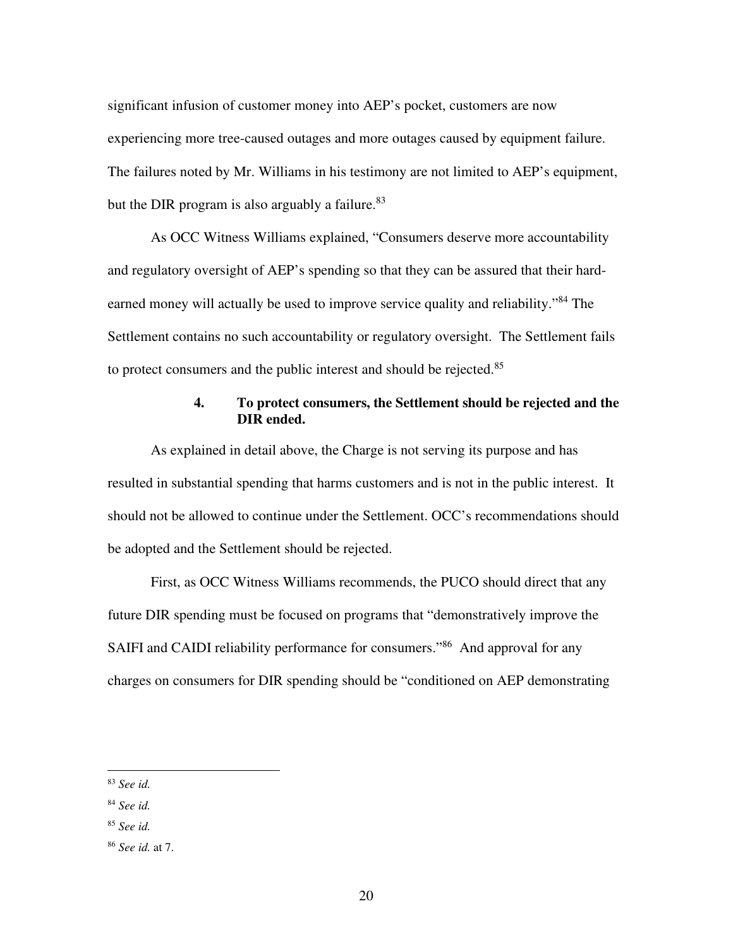significant infusion of customer money into AEP's pocket, customers are now experiencing more tree-caused outages and more outages caused by equipment failure. The failures noted by Mr. Williams in his testimony are not limited to AEP's equipment, but the DIR program is also arguably a failure. $83$ 

As OCC Witness Williams explained, "Consumers deserve more accountability and regulatory oversight of AEP's spending so that they can be assured that their hardearned money will actually be used to improve service quality and reliability."<sup>84</sup> The Settlement contains no such accountability or regulatory oversight. The Settlement fails to protect consumers and the public interest and should be rejected.<sup>85</sup>

## **4. To protect consumers, the Settlement should be rejected and the DIR ended.**

As explained in detail above, the Charge is not serving its purpose and has resulted in substantial spending that harms customers and is not in the public interest. It should not be allowed to continue under the Settlement. OCC's recommendations should be adopted and the Settlement should be rejected.

First, as OCC Witness Williams recommends, the PUCO should direct that any future DIR spending must be focused on programs that "demonstratively improve the SAIFI and CAIDI reliability performance for consumers."<sup>86</sup> And approval for any charges on consumers for DIR spending should be "conditioned on AEP demonstrating

<sup>83</sup> *See id.* 

<sup>84</sup> *See id.* 

<sup>85</sup> *See id.* 

<sup>86</sup> *See id.* at 7.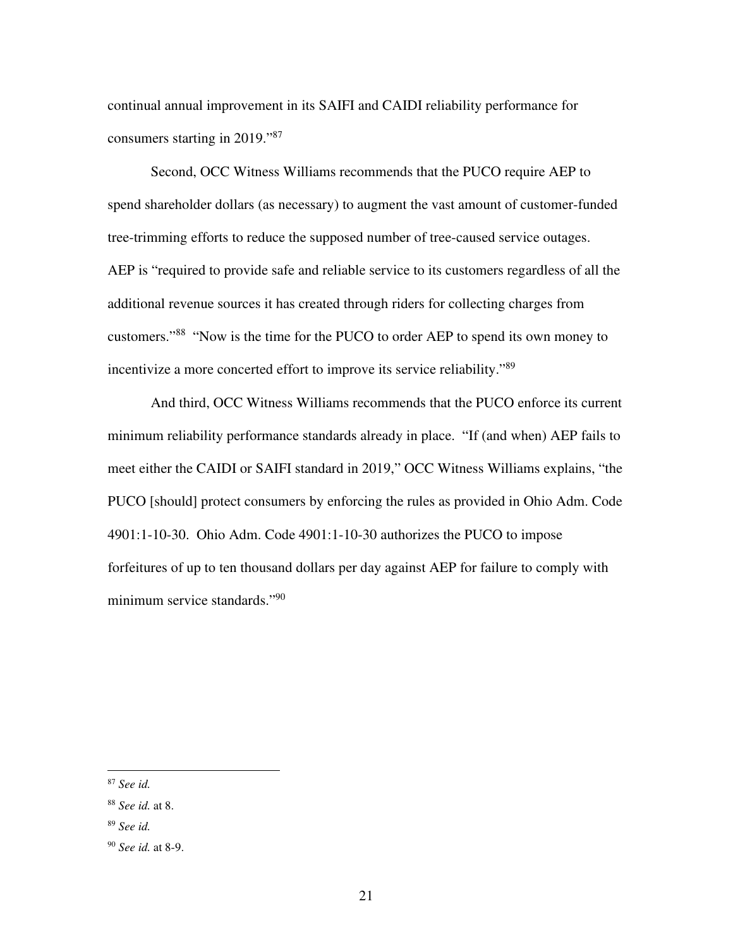continual annual improvement in its SAIFI and CAIDI reliability performance for consumers starting in 2019."<sup>87</sup>

Second, OCC Witness Williams recommends that the PUCO require AEP to spend shareholder dollars (as necessary) to augment the vast amount of customer-funded tree-trimming efforts to reduce the supposed number of tree-caused service outages. AEP is "required to provide safe and reliable service to its customers regardless of all the additional revenue sources it has created through riders for collecting charges from customers."<sup>88</sup> "Now is the time for the PUCO to order AEP to spend its own money to incentivize a more concerted effort to improve its service reliability."<sup>89</sup>

And third, OCC Witness Williams recommends that the PUCO enforce its current minimum reliability performance standards already in place. "If (and when) AEP fails to meet either the CAIDI or SAIFI standard in 2019," OCC Witness Williams explains, "the PUCO [should] protect consumers by enforcing the rules as provided in Ohio Adm. Code 4901:1-10-30. Ohio Adm. Code 4901:1-10-30 authorizes the PUCO to impose forfeitures of up to ten thousand dollars per day against AEP for failure to comply with minimum service standards."<sup>90</sup>

<sup>87</sup> *See id.* 

<sup>88</sup> *See id.* at 8.

<sup>89</sup> *See id.* 

<sup>90</sup> *See id.* at 8-9.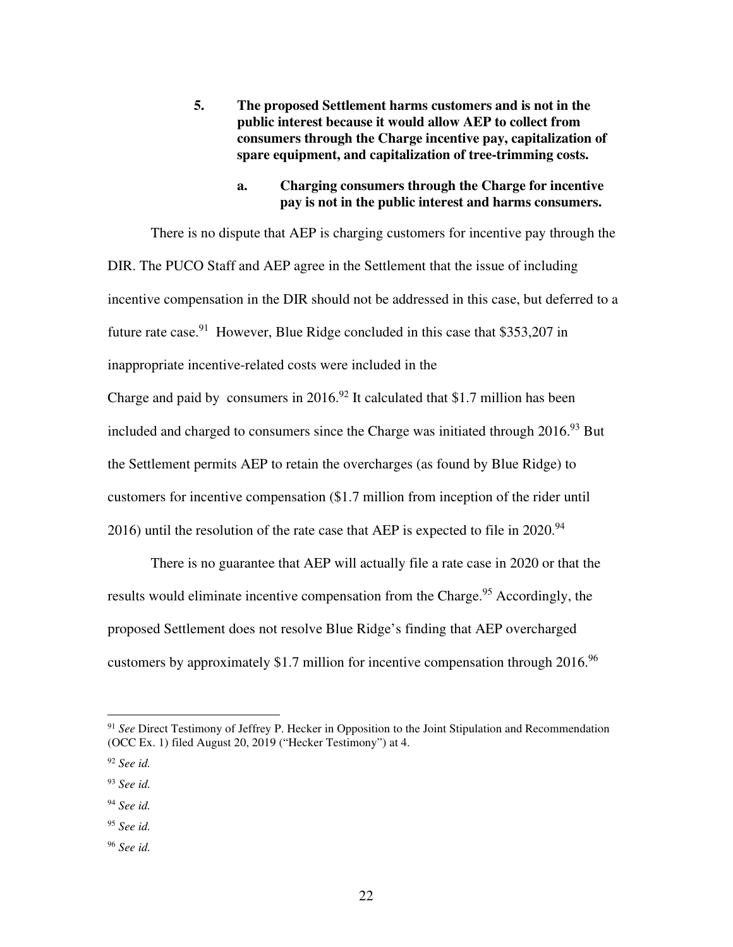**5. The proposed Settlement harms customers and is not in the public interest because it would allow AEP to collect from consumers through the Charge incentive pay, capitalization of spare equipment, and capitalization of tree-trimming costs.** 

#### **a. Charging consumers through the Charge for incentive pay is not in the public interest and harms consumers.**

There is no dispute that AEP is charging customers for incentive pay through the DIR. The PUCO Staff and AEP agree in the Settlement that the issue of including incentive compensation in the DIR should not be addressed in this case, but deferred to a future rate case.<sup>91</sup> However, Blue Ridge concluded in this case that \$353,207 in inappropriate incentive-related costs were included in the Charge and paid by consumers in 2016.<sup>92</sup> It calculated that \$1.7 million has been included and charged to consumers since the Charge was initiated through  $2016<sup>93</sup>$  But the Settlement permits AEP to retain the overcharges (as found by Blue Ridge) to customers for incentive compensation (\$1.7 million from inception of the rider until 2016) until the resolution of the rate case that AEP is expected to file in  $2020$ .<sup>94</sup>

There is no guarantee that AEP will actually file a rate case in 2020 or that the results would eliminate incentive compensation from the Charge.<sup>95</sup> Accordingly, the proposed Settlement does not resolve Blue Ridge's finding that AEP overcharged customers by approximately \$1.7 million for incentive compensation through 2016.<sup>96</sup>

<sup>91</sup> *See* Direct Testimony of Jeffrey P. Hecker in Opposition to the Joint Stipulation and Recommendation (OCC Ex. 1) filed August 20, 2019 ("Hecker Testimony") at 4.

<sup>92</sup> *See id.* 

<sup>93</sup> *See id.* 

<sup>94</sup> *See id.* 

<sup>95</sup> *See id.* 

<sup>96</sup> *See id.*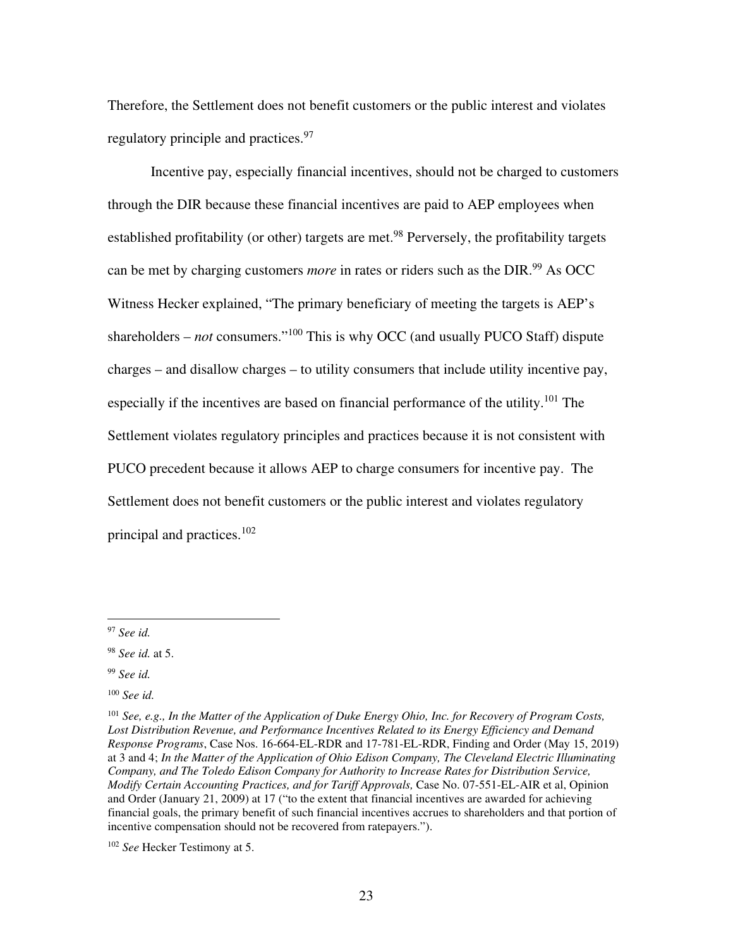Therefore, the Settlement does not benefit customers or the public interest and violates regulatory principle and practices.<sup>97</sup>

Incentive pay, especially financial incentives, should not be charged to customers through the DIR because these financial incentives are paid to AEP employees when established profitability (or other) targets are met.<sup>98</sup> Perversely, the profitability targets can be met by charging customers *more* in rates or riders such as the DIR.<sup>99</sup> As OCC Witness Hecker explained, "The primary beneficiary of meeting the targets is AEP's shareholders – *not* consumers."<sup>100</sup> This is why OCC (and usually PUCO Staff) dispute charges – and disallow charges – to utility consumers that include utility incentive pay, especially if the incentives are based on financial performance of the utility.<sup>101</sup> The Settlement violates regulatory principles and practices because it is not consistent with PUCO precedent because it allows AEP to charge consumers for incentive pay. The Settlement does not benefit customers or the public interest and violates regulatory principal and practices.<sup>102</sup>

<sup>97</sup> *See id.* 

<sup>98</sup> *See id.* at 5.

<sup>99</sup> *See id.* 

<sup>100</sup> *See id.* 

<sup>101</sup> *See, e.g., In the Matter of the Application of Duke Energy Ohio, Inc. for Recovery of Program Costs, Lost Distribution Revenue, and Performance Incentives Related to its Energy Efficiency and Demand Response Programs*, Case Nos. 16-664-EL-RDR and 17-781-EL-RDR, Finding and Order (May 15, 2019) at 3 and 4; *In the Matter of the Application of Ohio Edison Company, The Cleveland Electric Illuminating Company, and The Toledo Edison Company for Authority to Increase Rates for Distribution Service, Modify Certain Accounting Practices, and for Tariff Approvals,* Case No. 07-551-EL-AIR et al, Opinion and Order (January 21, 2009) at 17 ("to the extent that financial incentives are awarded for achieving financial goals, the primary benefit of such financial incentives accrues to shareholders and that portion of incentive compensation should not be recovered from ratepayers.").

<sup>102</sup> *See* Hecker Testimony at 5.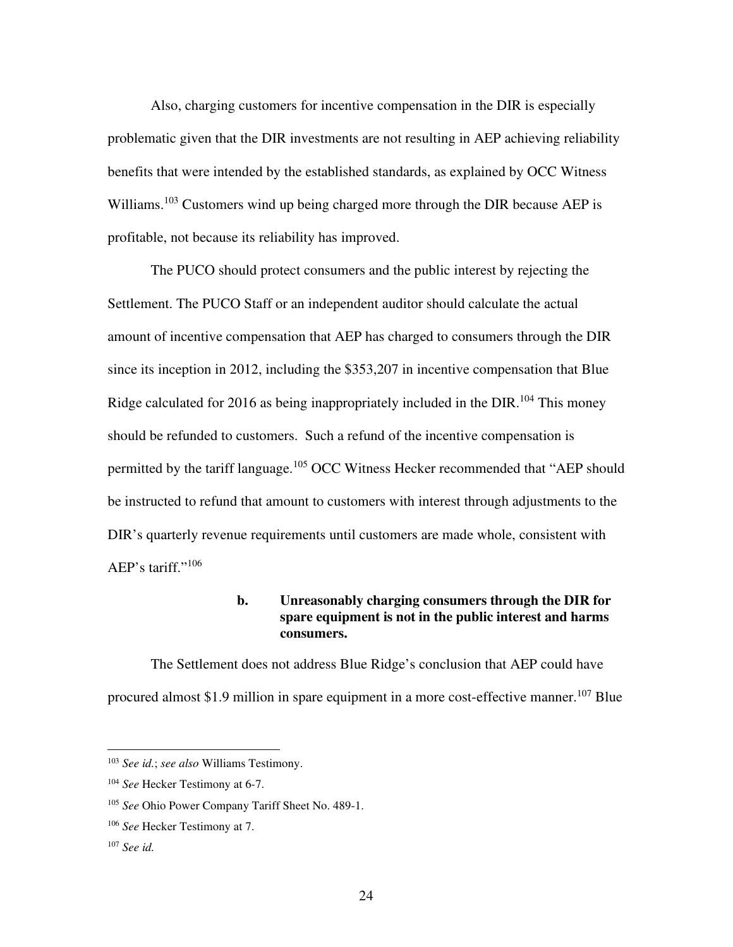Also, charging customers for incentive compensation in the DIR is especially problematic given that the DIR investments are not resulting in AEP achieving reliability benefits that were intended by the established standards, as explained by OCC Witness Williams.<sup>103</sup> Customers wind up being charged more through the DIR because AEP is profitable, not because its reliability has improved.

The PUCO should protect consumers and the public interest by rejecting the Settlement. The PUCO Staff or an independent auditor should calculate the actual amount of incentive compensation that AEP has charged to consumers through the DIR since its inception in 2012, including the \$353,207 in incentive compensation that Blue Ridge calculated for 2016 as being inappropriately included in the  $DIR<sub>104</sub>$  This money should be refunded to customers. Such a refund of the incentive compensation is permitted by the tariff language.<sup>105</sup> OCC Witness Hecker recommended that "AEP should be instructed to refund that amount to customers with interest through adjustments to the DIR's quarterly revenue requirements until customers are made whole, consistent with AEP's tariff."<sup>106</sup>

## **b. Unreasonably charging consumers through the DIR for spare equipment is not in the public interest and harms consumers.**

The Settlement does not address Blue Ridge's conclusion that AEP could have procured almost \$1.9 million in spare equipment in a more cost-effective manner.<sup>107</sup> Blue

<sup>103</sup> *See id.*; *see also* Williams Testimony.

<sup>104</sup> *See* Hecker Testimony at 6-7.

<sup>105</sup> *See* Ohio Power Company Tariff Sheet No. 489-1.

<sup>106</sup> *See* Hecker Testimony at 7.

<sup>107</sup> *See id.*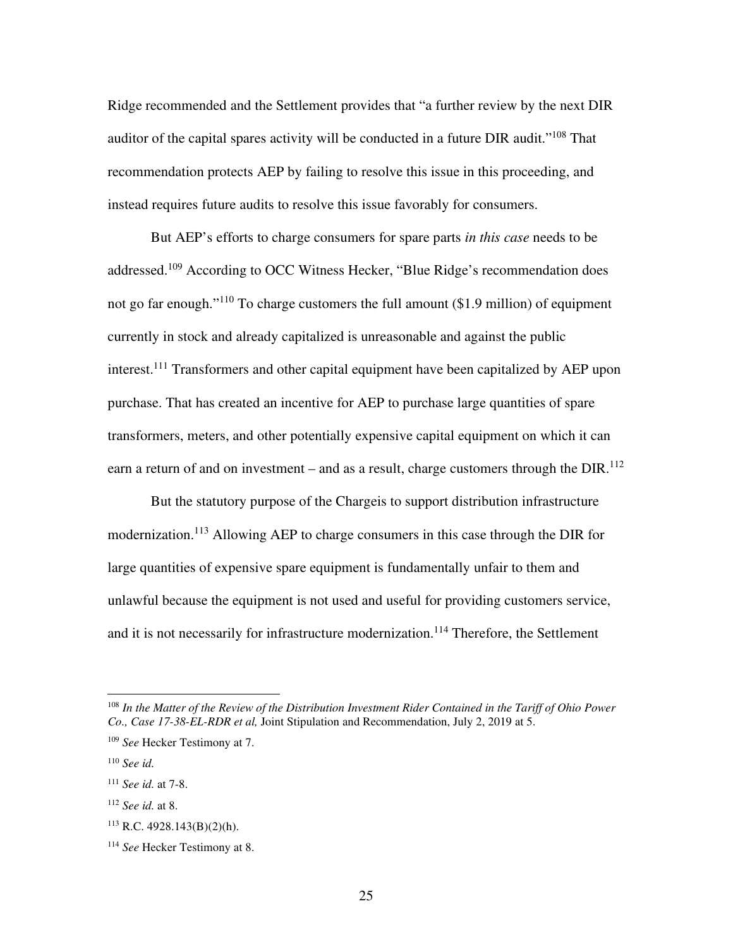Ridge recommended and the Settlement provides that "a further review by the next DIR auditor of the capital spares activity will be conducted in a future DIR audit."<sup>108</sup> That recommendation protects AEP by failing to resolve this issue in this proceeding, and instead requires future audits to resolve this issue favorably for consumers.

But AEP's efforts to charge consumers for spare parts *in this case* needs to be addressed.<sup>109</sup> According to OCC Witness Hecker, "Blue Ridge's recommendation does not go far enough."<sup>110</sup> To charge customers the full amount  $(\$1.9$  million) of equipment currently in stock and already capitalized is unreasonable and against the public interest.<sup>111</sup> Transformers and other capital equipment have been capitalized by AEP upon purchase. That has created an incentive for AEP to purchase large quantities of spare transformers, meters, and other potentially expensive capital equipment on which it can earn a return of and on investment – and as a result, charge customers through the  $DIR^{112}$ 

But the statutory purpose of the Chargeis to support distribution infrastructure modernization.<sup>113</sup> Allowing AEP to charge consumers in this case through the DIR for large quantities of expensive spare equipment is fundamentally unfair to them and unlawful because the equipment is not used and useful for providing customers service, and it is not necessarily for infrastructure modernization.<sup>114</sup> Therefore, the Settlement

<sup>108</sup> *In the Matter of the Review of the Distribution Investment Rider Contained in the Tariff of Ohio Power Co., Case 17-38-EL-RDR et al,* Joint Stipulation and Recommendation, July 2, 2019 at 5.

<sup>109</sup> *See* Hecker Testimony at 7.

<sup>110</sup> *See id.* 

<sup>111</sup> *See id.* at 7-8.

<sup>112</sup> *See id.* at 8.

 $113$  R.C. 4928.143(B)(2)(h).

<sup>114</sup> *See* Hecker Testimony at 8.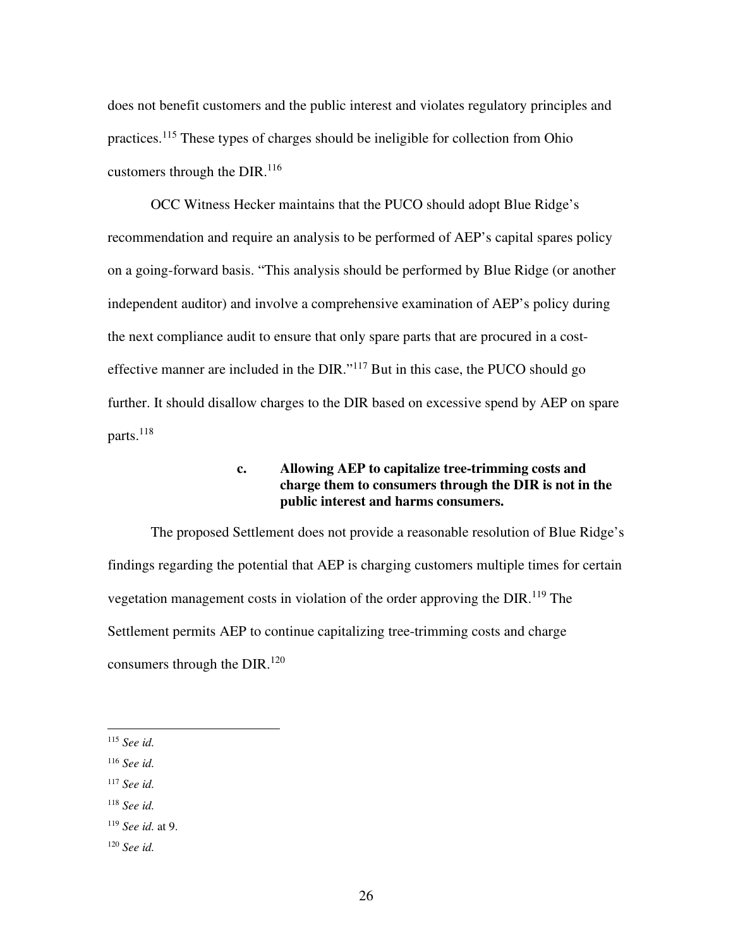does not benefit customers and the public interest and violates regulatory principles and practices.<sup>115</sup> These types of charges should be ineligible for collection from Ohio customers through the DIR. $^{116}$ 

OCC Witness Hecker maintains that the PUCO should adopt Blue Ridge's recommendation and require an analysis to be performed of AEP's capital spares policy on a going-forward basis. "This analysis should be performed by Blue Ridge (or another independent auditor) and involve a comprehensive examination of AEP's policy during the next compliance audit to ensure that only spare parts that are procured in a costeffective manner are included in the DIR."<sup>117</sup> But in this case, the PUCO should go further. It should disallow charges to the DIR based on excessive spend by AEP on spare parts.<sup>118</sup>

## **c. Allowing AEP to capitalize tree-trimming costs and charge them to consumers through the DIR is not in the public interest and harms consumers.**

The proposed Settlement does not provide a reasonable resolution of Blue Ridge's findings regarding the potential that AEP is charging customers multiple times for certain vegetation management costs in violation of the order approving the  $DIR<sup>119</sup>$  The Settlement permits AEP to continue capitalizing tree-trimming costs and charge consumers through the DIR. $^{120}$ 

<sup>117</sup> *See id.* 

<sup>115</sup> *See id.* 

<sup>116</sup> *See id.* 

<sup>118</sup> *See id.* 

<sup>119</sup> *See id.* at 9.

<sup>120</sup> *See id.*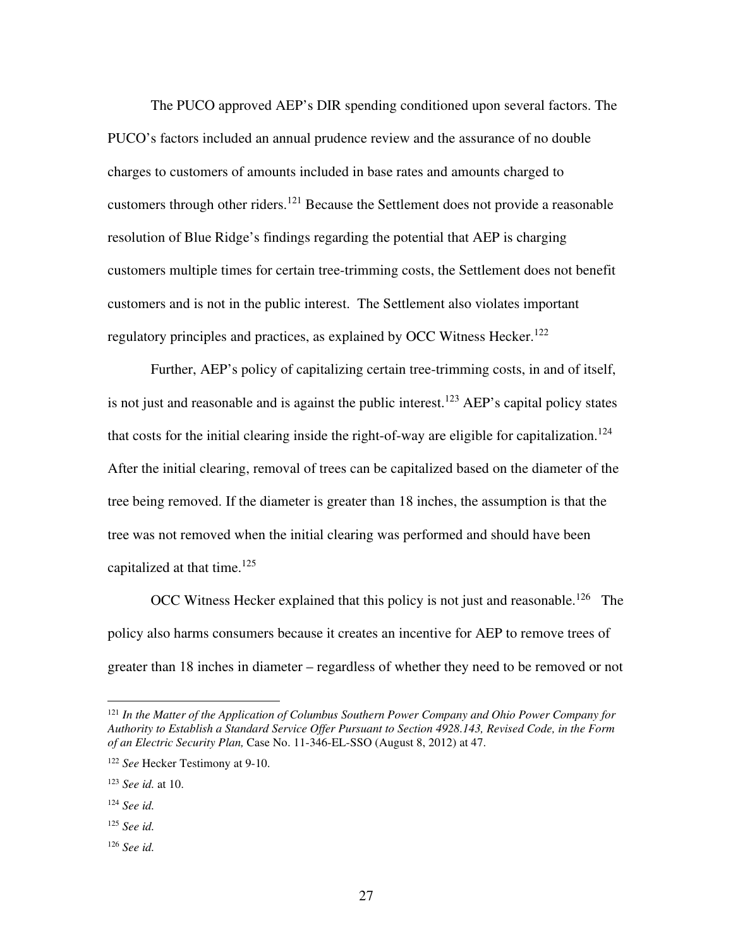The PUCO approved AEP's DIR spending conditioned upon several factors. The PUCO's factors included an annual prudence review and the assurance of no double charges to customers of amounts included in base rates and amounts charged to customers through other riders.<sup>121</sup> Because the Settlement does not provide a reasonable resolution of Blue Ridge's findings regarding the potential that AEP is charging customers multiple times for certain tree-trimming costs, the Settlement does not benefit customers and is not in the public interest. The Settlement also violates important regulatory principles and practices, as explained by OCC Witness Hecker.<sup>122</sup>

Further, AEP's policy of capitalizing certain tree-trimming costs, in and of itself, is not just and reasonable and is against the public interest.<sup>123</sup> AEP's capital policy states that costs for the initial clearing inside the right-of-way are eligible for capitalization.<sup>124</sup> After the initial clearing, removal of trees can be capitalized based on the diameter of the tree being removed. If the diameter is greater than 18 inches, the assumption is that the tree was not removed when the initial clearing was performed and should have been capitalized at that time.<sup>125</sup>

OCC Witness Hecker explained that this policy is not just and reasonable.<sup>126</sup> The policy also harms consumers because it creates an incentive for AEP to remove trees of greater than 18 inches in diameter – regardless of whether they need to be removed or not

- <sup>125</sup> *See id.*
- <sup>126</sup> *See id.*

<sup>&</sup>lt;sup>121</sup> In the Matter of the Application of Columbus Southern Power Company and Ohio Power Company for *Authority to Establish a Standard Service Offer Pursuant to Section 4928.143, Revised Code, in the Form of an Electric Security Plan,* Case No. 11-346-EL-SSO (August 8, 2012) at 47.

<sup>122</sup> *See* Hecker Testimony at 9-10.

<sup>123</sup> *See id.* at 10.

<sup>124</sup> *See id.*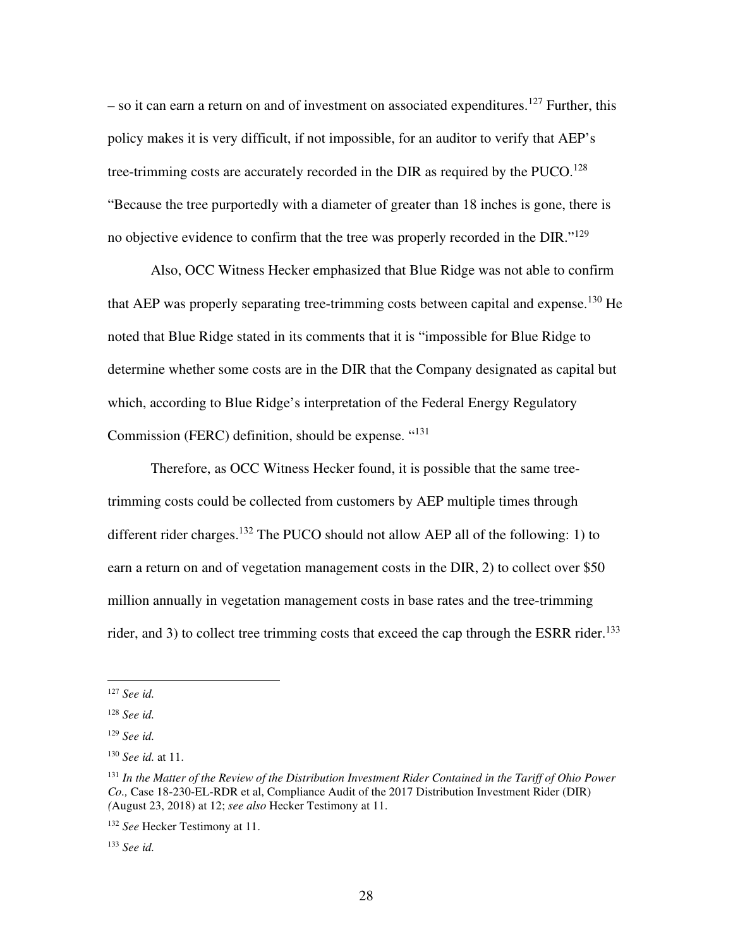$-$  so it can earn a return on and of investment on associated expenditures.<sup>127</sup> Further, this policy makes it is very difficult, if not impossible, for an auditor to verify that AEP's tree-trimming costs are accurately recorded in the DIR as required by the  $PUCO$ .<sup>128</sup> "Because the tree purportedly with a diameter of greater than 18 inches is gone, there is no objective evidence to confirm that the tree was properly recorded in the DIR."<sup>129</sup>

Also, OCC Witness Hecker emphasized that Blue Ridge was not able to confirm that AEP was properly separating tree-trimming costs between capital and expense.<sup>130</sup> He noted that Blue Ridge stated in its comments that it is "impossible for Blue Ridge to determine whether some costs are in the DIR that the Company designated as capital but which, according to Blue Ridge's interpretation of the Federal Energy Regulatory Commission (FERC) definition, should be expense. "<sup>131</sup>

Therefore, as OCC Witness Hecker found, it is possible that the same treetrimming costs could be collected from customers by AEP multiple times through different rider charges.<sup>132</sup> The PUCO should not allow AEP all of the following: 1) to earn a return on and of vegetation management costs in the DIR, 2) to collect over \$50 million annually in vegetation management costs in base rates and the tree-trimming rider, and 3) to collect tree trimming costs that exceed the cap through the ESRR rider.<sup>133</sup>

<sup>127</sup> *See id.* 

<sup>128</sup> *See id.* 

<sup>129</sup> *See id.* 

<sup>130</sup> *See id.* at 11.

<sup>131</sup> *In the Matter of the Review of the Distribution Investment Rider Contained in the Tariff of Ohio Power Co.,* Case 18-230-EL-RDR et al, Compliance Audit of the 2017 Distribution Investment Rider (DIR) *(*August 23, 2018) at 12; *see also* Hecker Testimony at 11.

<sup>132</sup> *See* Hecker Testimony at 11.

<sup>133</sup> *See id.*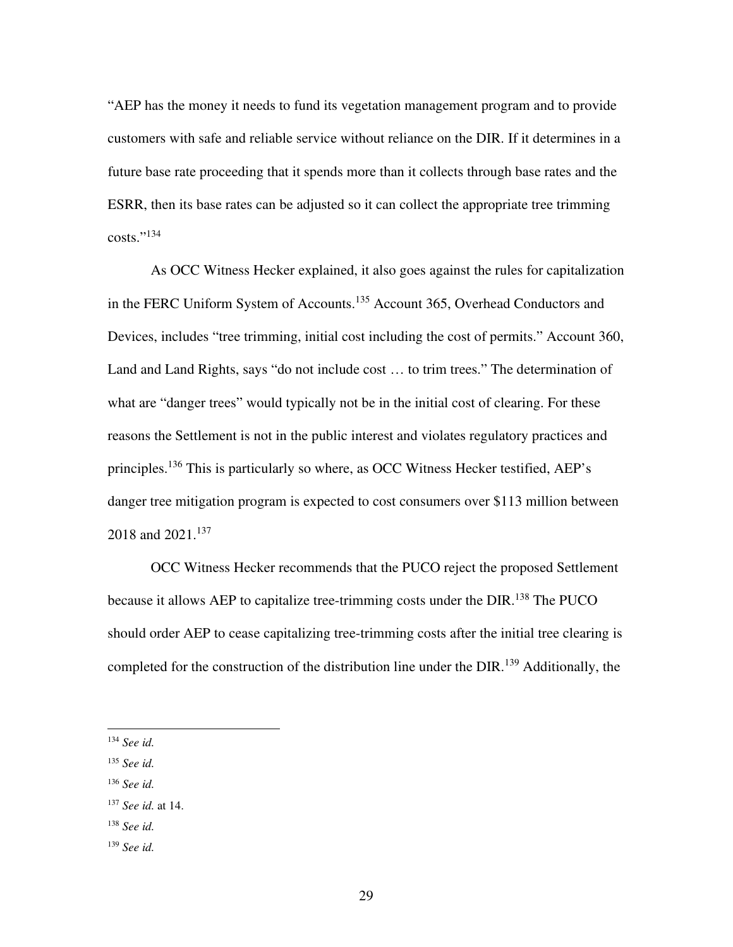"AEP has the money it needs to fund its vegetation management program and to provide customers with safe and reliable service without reliance on the DIR. If it determines in a future base rate proceeding that it spends more than it collects through base rates and the ESRR, then its base rates can be adjusted so it can collect the appropriate tree trimming  $costs." <sup>134</sup>$ 

As OCC Witness Hecker explained, it also goes against the rules for capitalization in the FERC Uniform System of Accounts.<sup>135</sup> Account 365, Overhead Conductors and Devices, includes "tree trimming, initial cost including the cost of permits." Account 360, Land and Land Rights, says "do not include cost … to trim trees." The determination of what are "danger trees" would typically not be in the initial cost of clearing. For these reasons the Settlement is not in the public interest and violates regulatory practices and principles.<sup>136</sup> This is particularly so where, as OCC Witness Hecker testified, AEP's danger tree mitigation program is expected to cost consumers over \$113 million between 2018 and 2021.<sup>137</sup>

OCC Witness Hecker recommends that the PUCO reject the proposed Settlement because it allows AEP to capitalize tree-trimming costs under the DIR.<sup>138</sup> The PUCO should order AEP to cease capitalizing tree-trimming costs after the initial tree clearing is completed for the construction of the distribution line under the  $DIR<sup>139</sup>$  Additionally, the

<sup>136</sup> *See id.* 

- <sup>138</sup> *See id.*
- <sup>139</sup> *See id.*

<sup>134</sup> *See id.* 

<sup>135</sup> *See id.* 

<sup>137</sup> *See id.* at 14.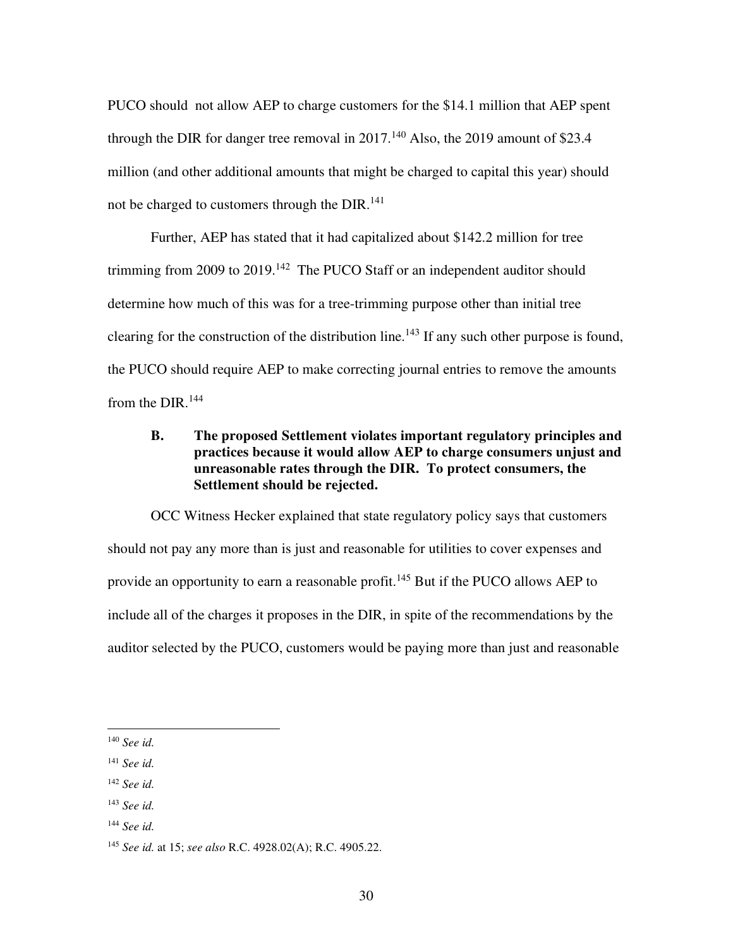PUCO should not allow AEP to charge customers for the \$14.1 million that AEP spent through the DIR for danger tree removal in  $2017$ .<sup>140</sup> Also, the 2019 amount of \$23.4 million (and other additional amounts that might be charged to capital this year) should not be charged to customers through the DIR.<sup>141</sup>

Further, AEP has stated that it had capitalized about \$142.2 million for tree trimming from 2009 to 2019.<sup>142</sup> The PUCO Staff or an independent auditor should determine how much of this was for a tree-trimming purpose other than initial tree clearing for the construction of the distribution line.<sup>143</sup> If any such other purpose is found, the PUCO should require AEP to make correcting journal entries to remove the amounts from the  $DIR<sub>144</sub>$ 

## **B. The proposed Settlement violates important regulatory principles and practices because it would allow AEP to charge consumers unjust and unreasonable rates through the DIR. To protect consumers, the Settlement should be rejected.**

OCC Witness Hecker explained that state regulatory policy says that customers should not pay any more than is just and reasonable for utilities to cover expenses and provide an opportunity to earn a reasonable profit.<sup>145</sup> But if the PUCO allows AEP to include all of the charges it proposes in the DIR, in spite of the recommendations by the auditor selected by the PUCO, customers would be paying more than just and reasonable

<sup>140</sup> *See id.* 

<sup>141</sup> *See id.* 

<sup>142</sup> *See id.*

<sup>143</sup> *See id.* 

<sup>144</sup> *See id.* 

<sup>145</sup> *See id.* at 15; *see also* R.C. 4928.02(A); R.C. 4905.22.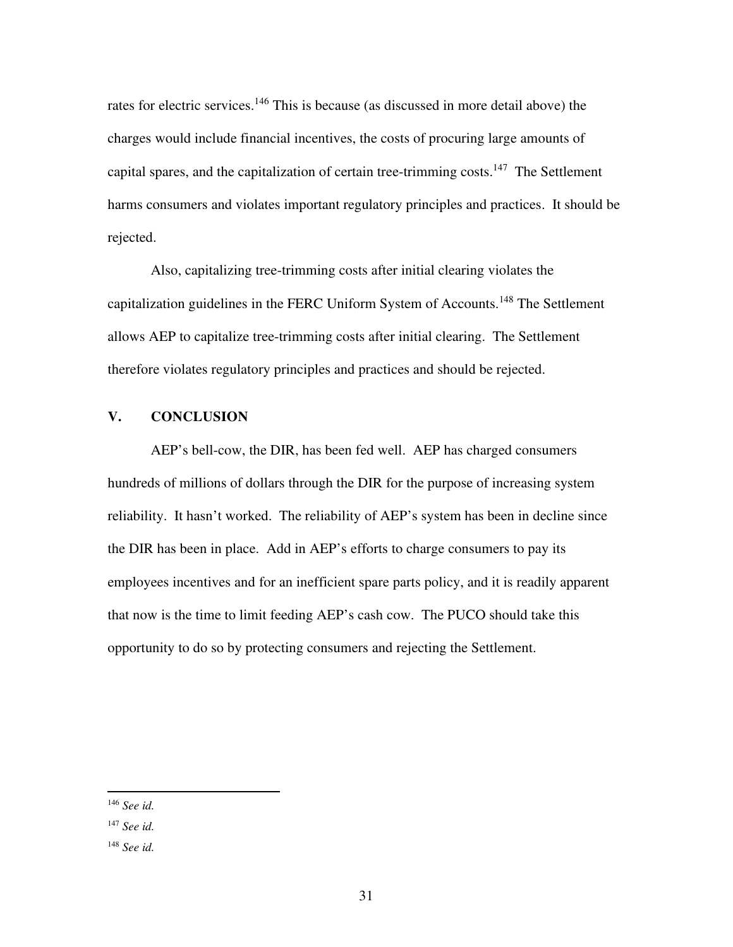rates for electric services.<sup>146</sup> This is because (as discussed in more detail above) the charges would include financial incentives, the costs of procuring large amounts of capital spares, and the capitalization of certain tree-trimming costs.<sup>147</sup> The Settlement harms consumers and violates important regulatory principles and practices. It should be rejected.

Also, capitalizing tree-trimming costs after initial clearing violates the capitalization guidelines in the FERC Uniform System of Accounts.<sup>148</sup> The Settlement allows AEP to capitalize tree-trimming costs after initial clearing. The Settlement therefore violates regulatory principles and practices and should be rejected.

## **V. CONCLUSION**

AEP's bell-cow, the DIR, has been fed well. AEP has charged consumers hundreds of millions of dollars through the DIR for the purpose of increasing system reliability. It hasn't worked. The reliability of AEP's system has been in decline since the DIR has been in place. Add in AEP's efforts to charge consumers to pay its employees incentives and for an inefficient spare parts policy, and it is readily apparent that now is the time to limit feeding AEP's cash cow. The PUCO should take this opportunity to do so by protecting consumers and rejecting the Settlement.

<sup>146</sup> *See id.* 

<sup>147</sup> *See id.* 

<sup>148</sup> *See id.*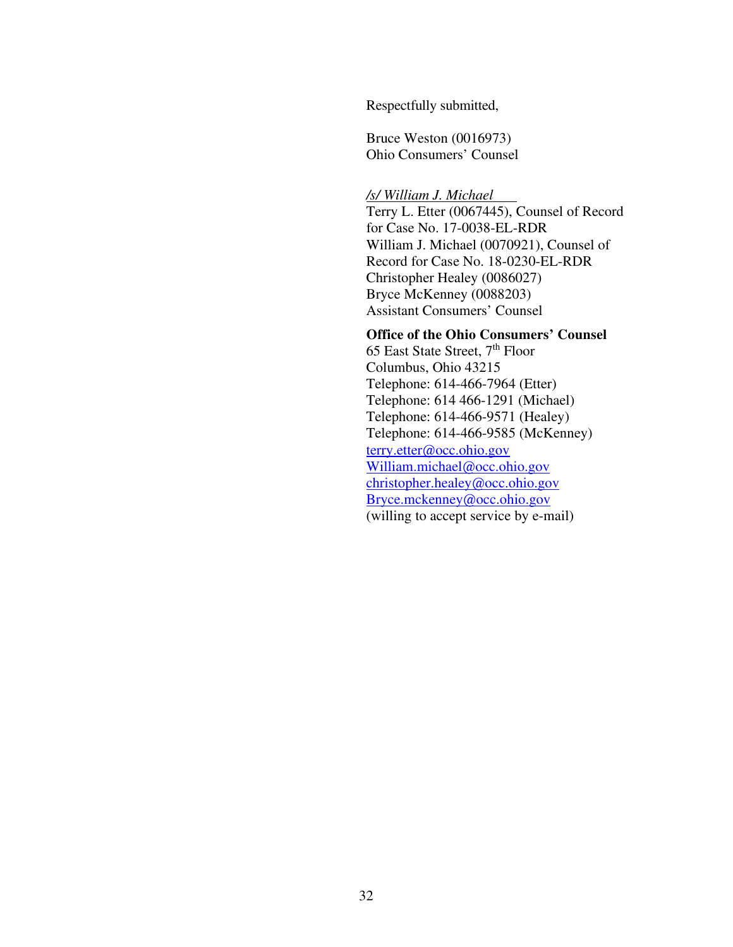Respectfully submitted,

Bruce Weston (0016973) Ohio Consumers' Counsel

#### */s/ William J. Michael*

Terry L. Etter (0067445), Counsel of Record for Case No. 17-0038-EL-RDR William J. Michael (0070921), Counsel of Record for Case No. 18-0230-EL-RDR Christopher Healey (0086027) Bryce McKenney (0088203) Assistant Consumers' Counsel

## **Office of the Ohio Consumers' Counsel**

65 East State Street,  $7<sup>th</sup>$  Floor Columbus, Ohio 43215 Telephone: 614-466-7964 (Etter) Telephone: 614 466-1291 (Michael) Telephone: 614-466-9571 (Healey) Telephone: 614-466-9585 (McKenney) terry.etter@occ.ohio.gov William.michael@occ.ohio.gov christopher.healey@occ.ohio.gov Bryce.mckenney@occ.ohio.gov (willing to accept service by e-mail)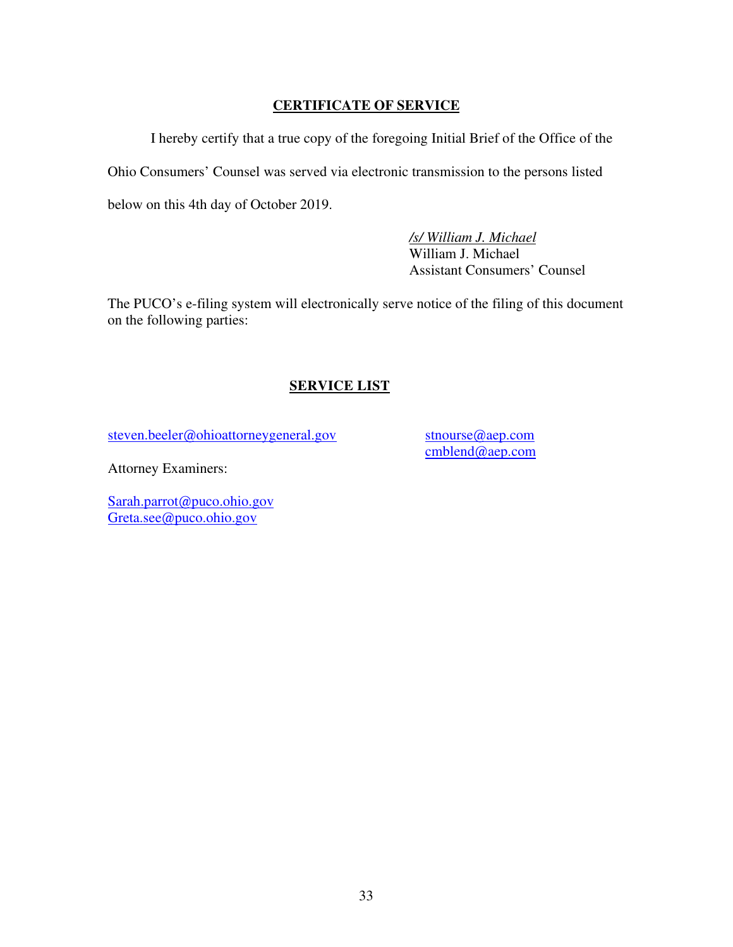## **CERTIFICATE OF SERVICE**

I hereby certify that a true copy of the foregoing Initial Brief of the Office of the Ohio Consumers' Counsel was served via electronic transmission to the persons listed below on this 4th day of October 2019.

> */s/ William J. Michael* William J. Michael Assistant Consumers' Counsel

The PUCO's e-filing system will electronically serve notice of the filing of this document on the following parties:

## **SERVICE LIST**

steven.beeler@ohioattorneygeneral.gov

stnourse@aep.com cmblend@aep.com

Attorney Examiners:

Sarah.parrot@puco.ohio.gov Greta.see@puco.ohio.gov